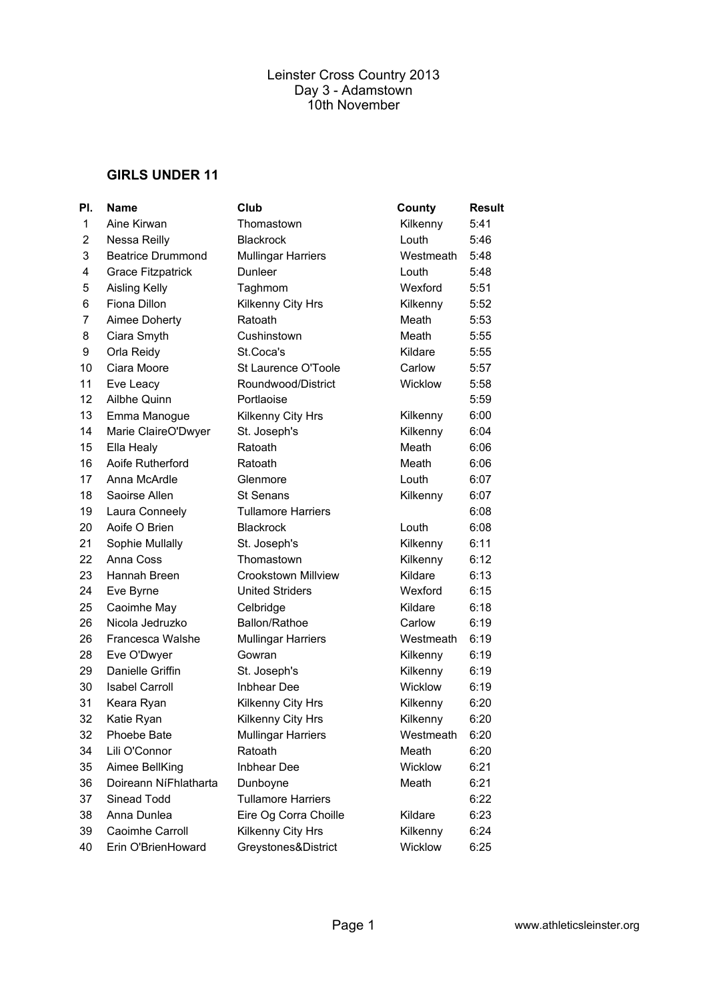| PI.            | Name                     | Club                      | County         | <b>Result</b> |
|----------------|--------------------------|---------------------------|----------------|---------------|
| $\mathbf{1}$   | Aine Kirwan              | Thomastown                | Kilkenny       | 5:41          |
| $\overline{2}$ | Nessa Reilly             | <b>Blackrock</b>          | Louth          | 5:46          |
| 3              | <b>Beatrice Drummond</b> | <b>Mullingar Harriers</b> | Westmeath      | 5:48          |
| 4              | <b>Grace Fitzpatrick</b> | Dunleer                   | Louth          | 5:48          |
| 5              | <b>Aisling Kelly</b>     | Taghmom                   | Wexford        | 5:51          |
| 6              | Fiona Dillon             | Kilkenny City Hrs         | Kilkenny       | 5:52          |
| 7              | Aimee Doherty            | Ratoath                   | Meath          | 5:53          |
| 8              | Ciara Smyth              | Cushinstown               | Meath          | 5:55          |
| 9              | Orla Reidy               | St.Coca's                 | Kildare        | 5:55          |
| 10             | Ciara Moore              | St Laurence O'Toole       | Carlow         | 5:57          |
| 11             | Eve Leacy                | Roundwood/District        | Wicklow        | 5:58          |
| 12             | Ailbhe Quinn             | Portlaoise                |                | 5:59          |
| 13             | Emma Manogue             | Kilkenny City Hrs         | Kilkenny       | 6:00          |
| 14             | Marie ClaireO'Dwyer      | St. Joseph's              | Kilkenny       | 6:04          |
| 15             | Ella Healy               | Ratoath                   | Meath          | 6:06          |
| 16             | Aoife Rutherford         | Ratoath                   | Meath          | 6:06          |
| 17             | Anna McArdle             | Glenmore                  | Louth          | 6:07          |
| 18             | Saoirse Allen            | <b>St Senans</b>          | Kilkenny       | 6:07          |
| 19             | Laura Conneely           | <b>Tullamore Harriers</b> |                | 6:08          |
| 20             | Aoife O Brien            | <b>Blackrock</b>          | Louth          | 6:08          |
| 21             | Sophie Mullally          | St. Joseph's              | Kilkenny       | 6:11          |
| 22             | Anna Coss                | Thomastown                | Kilkenny       | 6:12          |
| 23             | Hannah Breen             | Crookstown Millview       | Kildare        | 6:13          |
| 24             | Eve Byrne                | <b>United Striders</b>    | Wexford        | 6:15          |
| 25             | Caoimhe May              | Celbridge                 | Kildare        | 6:18          |
| 26             | Nicola Jedruzko          | Ballon/Rathoe             | Carlow         | 6:19          |
| 26             | Francesca Walshe         | <b>Mullingar Harriers</b> | Westmeath      | 6:19          |
| 28             | Eve O'Dwyer              | Gowran                    | Kilkenny       | 6:19          |
| 29             | Danielle Griffin         | St. Joseph's              | Kilkenny       | 6:19          |
| 30             | <b>Isabel Carroll</b>    | <b>Inbhear</b> Dee        | <b>Wicklow</b> | 6:19          |
| 31             | Keara Ryan               | Kilkenny City Hrs         | Kilkenny       | 6:20          |
| 32             | Katie Ryan               | Kilkenny City Hrs         | Kilkenny       | 6:20          |
| 32             | Phoebe Bate              | <b>Mullingar Harriers</b> | Westmeath      | 6:20          |
| 34             | Lili O'Connor            | Ratoath                   | Meath          | 6:20          |
| 35             | Aimee BellKing           | Inbhear Dee               | Wicklow        | 6:21          |
| 36             | Doireann NíFhlatharta    | Dunboyne                  | Meath          | 6:21          |
| 37             | Sinead Todd              | <b>Tullamore Harriers</b> |                | 6:22          |
| 38             | Anna Dunlea              | Eire Og Corra Choille     | Kildare        | 6:23          |
| 39             | Caoimhe Carroll          | Kilkenny City Hrs         | Kilkenny       | 6:24          |
| 40             | Erin O'BrienHoward       | Greystones&District       | Wicklow        | 6:25          |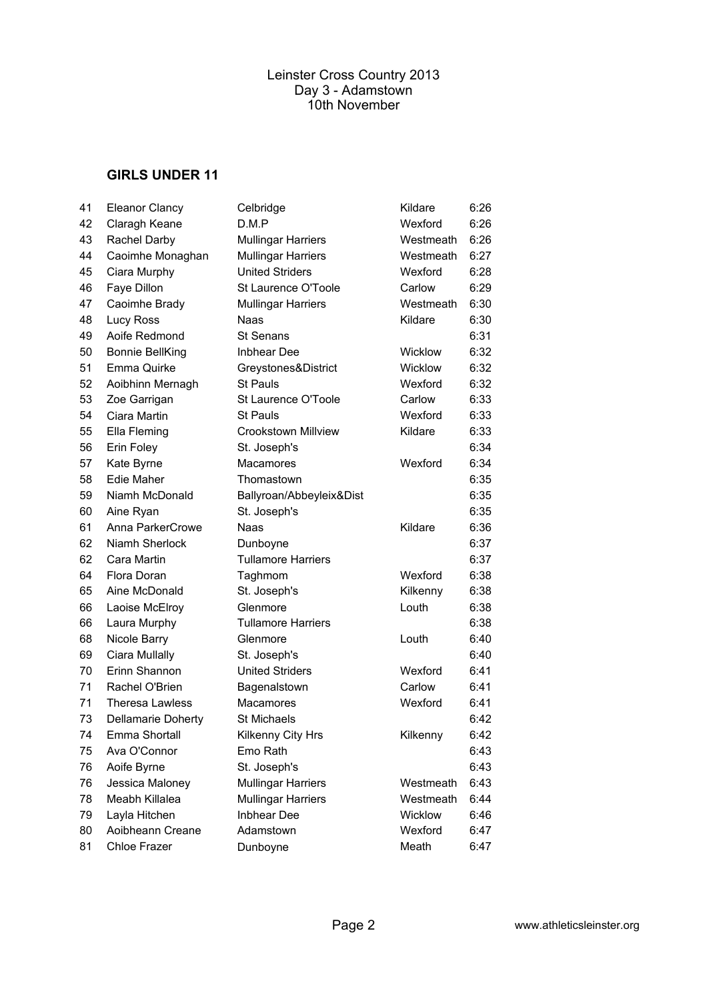| 41 | <b>Eleanor Clancy</b>  | Celbridge                 | Kildare        | 6:26 |
|----|------------------------|---------------------------|----------------|------|
| 42 | Claragh Keane          | D.M.P                     | Wexford        | 6:26 |
| 43 | Rachel Darby           | <b>Mullingar Harriers</b> | Westmeath      | 6:26 |
| 44 | Caoimhe Monaghan       | <b>Mullingar Harriers</b> | Westmeath      | 6:27 |
| 45 | Ciara Murphy           | <b>United Striders</b>    | Wexford        | 6:28 |
| 46 | Faye Dillon            | St Laurence O'Toole       | Carlow         | 6:29 |
| 47 | Caoimhe Brady          | <b>Mullingar Harriers</b> | Westmeath      | 6:30 |
| 48 | <b>Lucy Ross</b>       | Naas                      | Kildare        | 6:30 |
| 49 | Aoife Redmond          | <b>St Senans</b>          |                | 6:31 |
| 50 | <b>Bonnie BellKing</b> | <b>Inbhear Dee</b>        | Wicklow        | 6:32 |
| 51 | Emma Quirke            | Greystones&District       | <b>Wicklow</b> | 6:32 |
| 52 | Aoibhinn Mernagh       | <b>St Pauls</b>           | Wexford        | 6:32 |
| 53 | Zoe Garrigan           | St Laurence O'Toole       | Carlow         | 6:33 |
| 54 | Ciara Martin           | <b>St Pauls</b>           | Wexford        | 6:33 |
| 55 | Ella Fleming           | Crookstown Millview       | Kildare        | 6:33 |
| 56 | Erin Foley             | St. Joseph's              |                | 6:34 |
| 57 | Kate Byrne             | Macamores                 | Wexford        | 6:34 |
| 58 | Edie Maher             | Thomastown                |                | 6:35 |
| 59 | Niamh McDonald         | Ballyroan/Abbeyleix&Dist  |                | 6:35 |
| 60 | Aine Ryan              | St. Joseph's              |                | 6:35 |
| 61 | Anna ParkerCrowe       | Naas                      | Kildare        | 6:36 |
| 62 | Niamh Sherlock         | Dunboyne                  |                | 6:37 |
| 62 | Cara Martin            | <b>Tullamore Harriers</b> |                | 6:37 |
| 64 | Flora Doran            | Taghmom                   | Wexford        | 6:38 |
| 65 | Aine McDonald          | St. Joseph's              | Kilkenny       | 6:38 |
| 66 | Laoise McElroy         | Glenmore                  | Louth          | 6:38 |
| 66 | Laura Murphy           | <b>Tullamore Harriers</b> |                | 6:38 |
| 68 | Nicole Barry           | Glenmore                  | Louth          | 6:40 |
| 69 | Ciara Mullally         | St. Joseph's              |                | 6:40 |
| 70 | Erinn Shannon          | <b>United Striders</b>    | Wexford        | 6:41 |
| 71 | Rachel O'Brien         | Bagenalstown              | Carlow         | 6:41 |
| 71 | <b>Theresa Lawless</b> | Macamores                 | Wexford        | 6:41 |
| 73 | Dellamarie Doherty     | St Michaels               |                | 6:42 |
| 74 | Emma Shortall          | Kilkenny City Hrs         | Kilkenny       | 6:42 |
| 75 | Ava O'Connor           | Emo Rath                  |                | 6:43 |
| 76 | Aoife Byrne            | St. Joseph's              |                | 6:43 |
| 76 | Jessica Maloney        | <b>Mullingar Harriers</b> | Westmeath      | 6:43 |
| 78 | Meabh Killalea         | <b>Mullingar Harriers</b> | Westmeath      | 6:44 |
| 79 | Layla Hitchen          | <b>Inbhear Dee</b>        | Wicklow        | 6:46 |
| 80 | Aoibheann Creane       | Adamstown                 | Wexford        | 6:47 |
| 81 | Chloe Frazer           | Dunboyne                  | Meath          | 6:47 |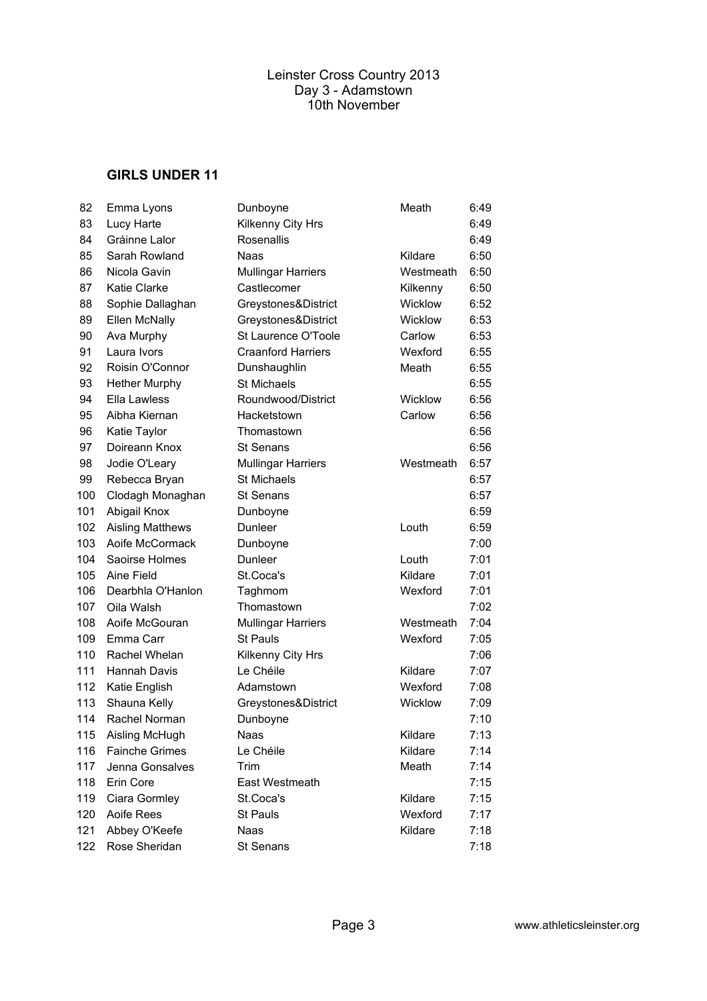| 82  | Emma Lyons              | Dunboyne                  | Meath          | 6:49 |
|-----|-------------------------|---------------------------|----------------|------|
| 83  | Lucy Harte              | Kilkenny City Hrs         |                | 6:49 |
| 84  | Gráinne Lalor           | Rosenallis                |                | 6:49 |
| 85  | Sarah Rowland           | Naas                      | Kildare        | 6:50 |
| 86  | Nicola Gavin            | <b>Mullingar Harriers</b> | Westmeath      | 6:50 |
| 87  | <b>Katie Clarke</b>     | Castlecomer               | Kilkenny       | 6:50 |
| 88  | Sophie Dallaghan        | Greystones&District       | Wicklow        | 6:52 |
| 89  | Ellen McNally           | Greystones&District       | <b>Wicklow</b> | 6:53 |
| 90  | Ava Murphy              | St Laurence O'Toole       | Carlow         | 6:53 |
| 91  | Laura Ivors             | <b>Craanford Harriers</b> | Wexford        | 6:55 |
| 92  | Roisin O'Connor         | Dunshaughlin              | Meath          | 6:55 |
| 93  | <b>Hether Murphy</b>    | St Michaels               |                | 6:55 |
| 94  | Ella Lawless            | Roundwood/District        | Wicklow        | 6:56 |
| 95  | Aibha Kiernan           | Hacketstown               | Carlow         | 6:56 |
| 96  | Katie Taylor            | Thomastown                |                | 6:56 |
| 97  | Doireann Knox           | <b>St Senans</b>          |                | 6:56 |
| 98  | Jodie O'Leary           | <b>Mullingar Harriers</b> | Westmeath      | 6:57 |
| 99  | Rebecca Bryan           | St Michaels               |                | 6:57 |
| 100 | Clodagh Monaghan        | St Senans                 |                | 6:57 |
| 101 | Abigail Knox            | Dunboyne                  |                | 6:59 |
| 102 | <b>Aisling Matthews</b> | Dunleer                   | Louth          | 6:59 |
| 103 | Aoife McCormack         | Dunboyne                  |                | 7:00 |
| 104 | Saoirse Holmes          | Dunleer                   | Louth          | 7:01 |
| 105 | Aine Field              | St.Coca's                 | Kildare        | 7:01 |
| 106 | Dearbhla O'Hanlon       | Taghmom                   | Wexford        | 7:01 |
| 107 | Oila Walsh              | Thomastown                |                | 7:02 |
| 108 | Aoife McGouran          | <b>Mullingar Harriers</b> | Westmeath      | 7:04 |
| 109 | Emma Carr               | <b>St Pauls</b>           | Wexford        | 7:05 |
| 110 | Rachel Whelan           | Kilkenny City Hrs         |                | 7:06 |
| 111 | Hannah Davis            | Le Chéile                 | Kildare        | 7:07 |
| 112 | Katie English           | Adamstown                 | Wexford        | 7:08 |
| 113 | Shauna Kelly            | Greystones&District       | Wicklow        | 7:09 |
| 114 | Rachel Norman           | Dunboyne                  |                | 7:10 |
| 115 | Aisling McHugh          | Naas                      | Kildare        | 7:13 |
| 116 | <b>Fainche Grimes</b>   | Le Chéile                 | Kildare        | 7:14 |
| 117 | Jenna Gonsalves         | Trim                      | Meath          | 7:14 |
| 118 | Erin Core               | East Westmeath            |                | 7:15 |
| 119 | Ciara Gormley           | St.Coca's                 | Kildare        | 7:15 |
| 120 | Aoife Rees              | <b>St Pauls</b>           | Wexford        | 7:17 |
| 121 | Abbey O'Keefe           | Naas                      | Kildare        | 7:18 |
| 122 | Rose Sheridan           | St Senans                 |                | 7:18 |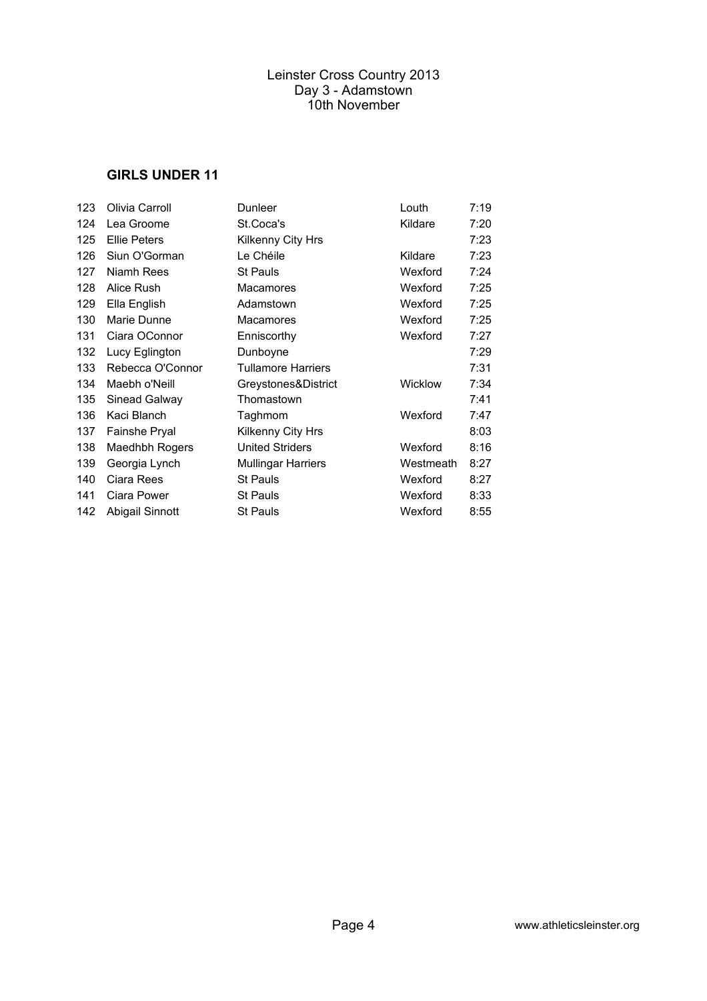| 123 | Olivia Carroll      | Dunleer                   | Louth     | 7:19 |
|-----|---------------------|---------------------------|-----------|------|
| 124 | Lea Groome          | St.Coca's                 | Kildare   | 7:20 |
| 125 | <b>Ellie Peters</b> | Kilkenny City Hrs         |           | 7:23 |
| 126 | Siun O'Gorman       | Le Chéile                 | Kildare   | 7:23 |
| 127 | Niamh Rees          | <b>St Pauls</b>           | Wexford   | 7:24 |
| 128 | Alice Rush          | <b>Macamores</b>          | Wexford   | 7:25 |
| 129 | Ella English        | Adamstown                 | Wexford   | 7:25 |
| 130 | Marie Dunne         | Macamores                 | Wexford   | 7:25 |
| 131 | Ciara OConnor       | Enniscorthy               | Wexford   | 7:27 |
| 132 | Lucy Eglington      | Dunboyne                  |           | 7:29 |
| 133 | Rebecca O'Connor    | <b>Tullamore Harriers</b> |           | 7:31 |
| 134 | Maebh o'Neill       | Greystones&District       | Wicklow   | 7:34 |
| 135 | Sinead Galway       | Thomastown                |           | 7:41 |
| 136 | Kaci Blanch         | Taghmom                   | Wexford   | 7:47 |
| 137 | Fainshe Pryal       | Kilkenny City Hrs         |           | 8:03 |
| 138 | Maedhbh Rogers      | <b>United Striders</b>    | Wexford   | 8:16 |
| 139 | Georgia Lynch       | <b>Mullingar Harriers</b> | Westmeath | 8:27 |
| 140 | Ciara Rees          | <b>St Pauls</b>           | Wexford   | 8:27 |
| 141 | Ciara Power         | St Pauls                  | Wexford   | 8:33 |
| 142 | Abigail Sinnott     | <b>St Pauls</b>           | Wexford   | 8:55 |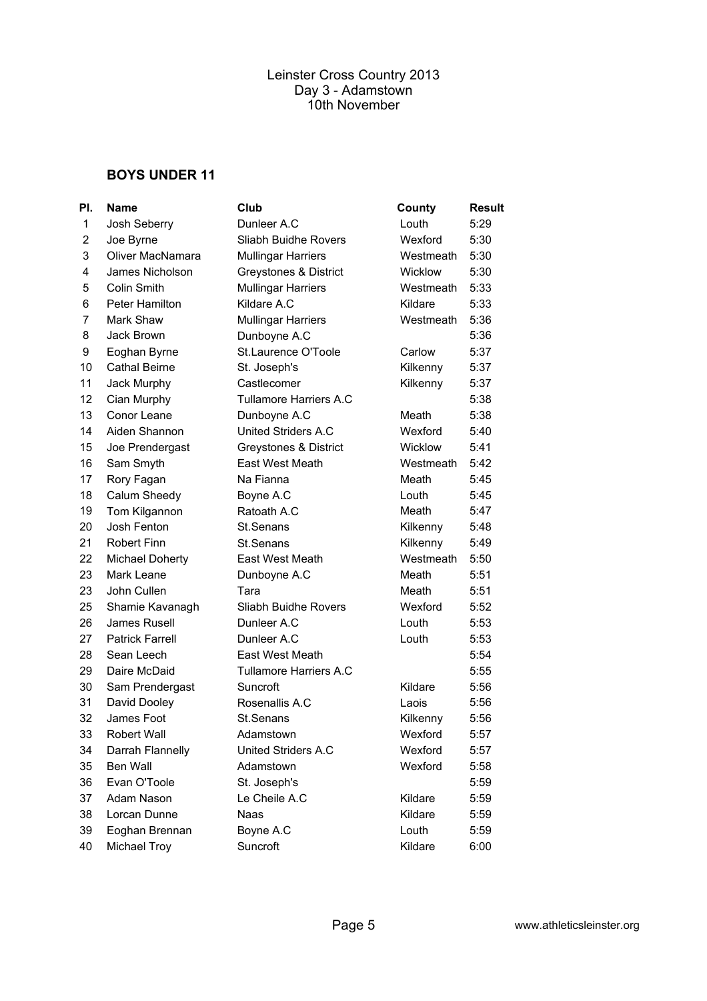| PI.            | <b>Name</b>            | Club                          | County    | <b>Result</b> |
|----------------|------------------------|-------------------------------|-----------|---------------|
| 1              | Josh Seberry           | Dunleer A.C                   | Louth     | 5:29          |
| 2              | Joe Byrne              | Sliabh Buidhe Rovers          | Wexford   | 5:30          |
| 3              | Oliver MacNamara       | <b>Mullingar Harriers</b>     | Westmeath | 5:30          |
| 4              | James Nicholson        | Greystones & District         | Wicklow   | 5:30          |
| 5              | <b>Colin Smith</b>     | <b>Mullingar Harriers</b>     | Westmeath | 5:33          |
| 6              | Peter Hamilton         | Kildare A.C                   | Kildare   | 5:33          |
| $\overline{7}$ | Mark Shaw              | <b>Mullingar Harriers</b>     | Westmeath | 5:36          |
| 8              | Jack Brown             | Dunboyne A.C                  |           | 5:36          |
| 9              | Eoghan Byrne           | St.Laurence O'Toole           | Carlow    | 5:37          |
| 10             | <b>Cathal Beirne</b>   | St. Joseph's                  | Kilkenny  | 5:37          |
| 11             | Jack Murphy            | Castlecomer                   | Kilkenny  | 5:37          |
| 12             | Cian Murphy            | <b>Tullamore Harriers A.C</b> |           | 5:38          |
| 13             | Conor Leane            | Dunboyne A.C                  | Meath     | 5:38          |
| 14             | Aiden Shannon          | <b>United Striders A.C</b>    | Wexford   | 5:40          |
| 15             | Joe Prendergast        | Greystones & District         | Wicklow   | 5:41          |
| 16             | Sam Smyth              | East West Meath               | Westmeath | 5:42          |
| 17             | Rory Fagan             | Na Fianna                     | Meath     | 5:45          |
| 18             | Calum Sheedy           | Boyne A.C                     | Louth     | 5:45          |
| 19             | Tom Kilgannon          | Ratoath A.C                   | Meath     | 5:47          |
| 20             | Josh Fenton            | St.Senans                     | Kilkenny  | 5:48          |
| 21             | <b>Robert Finn</b>     | St.Senans                     | Kilkenny  | 5:49          |
| 22             | <b>Michael Doherty</b> | East West Meath               | Westmeath | 5:50          |
| 23             | Mark Leane             | Dunboyne A.C                  | Meath     | 5:51          |
| 23             | John Cullen            | Tara                          | Meath     | 5:51          |
| 25             | Shamie Kavanagh        | Sliabh Buidhe Rovers          | Wexford   | 5:52          |
| 26             | James Rusell           | Dunleer A.C                   | Louth     | 5:53          |
| 27             | <b>Patrick Farrell</b> | Dunleer A.C                   | Louth     | 5:53          |
| 28             | Sean Leech             | East West Meath               |           | 5:54          |
| 29             | Daire McDaid           | <b>Tullamore Harriers A.C</b> |           | 5:55          |
| 30             | Sam Prendergast        | Suncroft                      | Kildare   | 5:56          |
| 31             | David Dooley           | Rosenallis A.C                | Laois     | 5:56          |
| 32             | James Foot             | St.Senans                     | Kilkenny  | 5:56          |
| 33             | <b>Robert Wall</b>     | Adamstown                     | Wexford   | 5:57          |
| 34             | Darrah Flannelly       | United Striders A.C           | Wexford   | 5:57          |
| 35             | Ben Wall               | Adamstown                     | Wexford   | 5:58          |
| 36             | Evan O'Toole           | St. Joseph's                  |           | 5:59          |
| 37             | Adam Nason             | Le Cheile A.C                 | Kildare   | 5:59          |
| 38             | Lorcan Dunne           | Naas                          | Kildare   | 5:59          |
| 39             | Eoghan Brennan         | Boyne A.C                     | Louth     | 5:59          |
| 40             | Michael Troy           | Suncroft                      | Kildare   | 6:00          |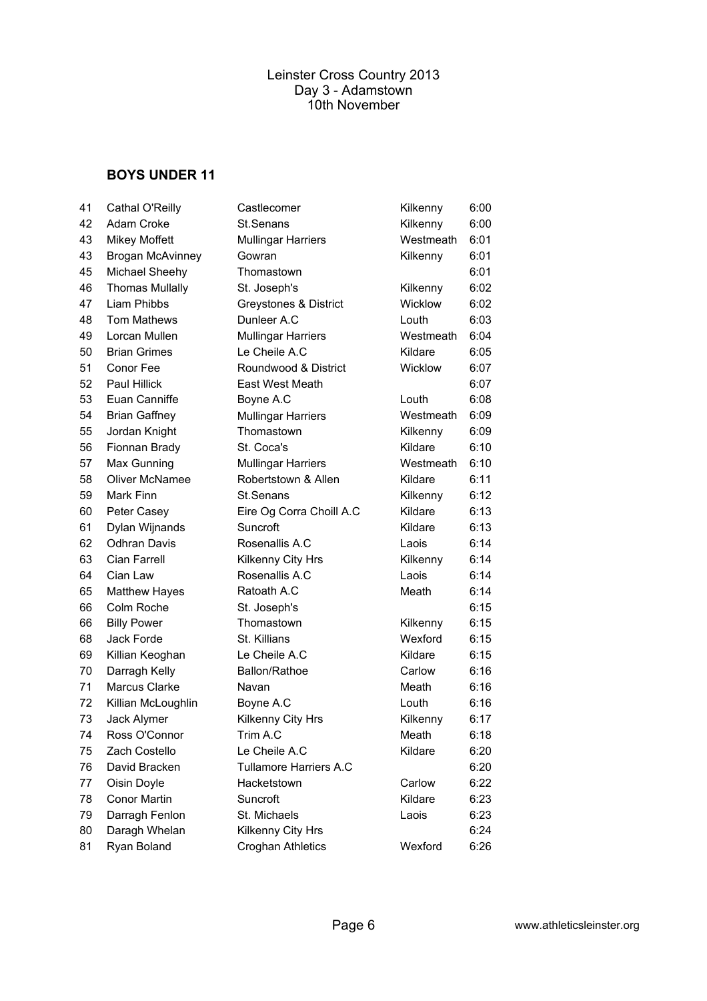| 41 | Cathal O'Reilly        | Castlecomer               | Kilkenny  | 6:00 |
|----|------------------------|---------------------------|-----------|------|
| 42 | Adam Croke             | St.Senans                 | Kilkenny  | 6:00 |
| 43 | <b>Mikey Moffett</b>   | <b>Mullingar Harriers</b> | Westmeath | 6:01 |
| 43 | Brogan McAvinney       | Gowran                    | Kilkenny  | 6:01 |
| 45 | Michael Sheehy         | Thomastown                |           | 6:01 |
| 46 | <b>Thomas Mullally</b> | St. Joseph's              | Kilkenny  | 6:02 |
| 47 | Liam Phibbs            | Greystones & District     | Wicklow   | 6:02 |
| 48 | <b>Tom Mathews</b>     | Dunleer A.C               | Louth     | 6:03 |
| 49 | Lorcan Mullen          | <b>Mullingar Harriers</b> | Westmeath | 6:04 |
| 50 | <b>Brian Grimes</b>    | Le Cheile A.C             | Kildare   | 6:05 |
| 51 | Conor Fee              | Roundwood & District      | Wicklow   | 6:07 |
| 52 | Paul Hillick           | East West Meath           |           | 6:07 |
| 53 | Euan Canniffe          | Boyne A.C                 | Louth     | 6:08 |
| 54 | <b>Brian Gaffney</b>   | <b>Mullingar Harriers</b> | Westmeath | 6:09 |
| 55 | Jordan Knight          | Thomastown                | Kilkenny  | 6:09 |
| 56 | Fionnan Brady          | St. Coca's                | Kildare   | 6:10 |
| 57 | Max Gunning            | <b>Mullingar Harriers</b> | Westmeath | 6:10 |
| 58 | Oliver McNamee         | Robertstown & Allen       | Kildare   | 6:11 |
| 59 | Mark Finn              | St.Senans                 | Kilkenny  | 6:12 |
| 60 | Peter Casey            | Eire Og Corra Choill A.C  | Kildare   | 6:13 |
| 61 | Dylan Wijnands         | Suncroft                  | Kildare   | 6:13 |
| 62 | <b>Odhran Davis</b>    | Rosenallis A.C            | Laois     | 6:14 |
| 63 | Cian Farrell           | Kilkenny City Hrs         | Kilkenny  | 6:14 |
| 64 | Cian Law               | Rosenallis A.C            | Laois     | 6:14 |
| 65 | <b>Matthew Hayes</b>   | Ratoath A.C               | Meath     | 6:14 |
| 66 | Colm Roche             | St. Joseph's              |           | 6:15 |
| 66 | <b>Billy Power</b>     | Thomastown                | Kilkenny  | 6:15 |
| 68 | Jack Forde             | St. Killians              | Wexford   | 6:15 |
| 69 | Killian Keoghan        | Le Cheile A.C             | Kildare   | 6:15 |
| 70 | Darragh Kelly          | Ballon/Rathoe             | Carlow    | 6:16 |
| 71 | Marcus Clarke          | Navan                     | Meath     | 6:16 |
| 72 | Killian McLoughlin     | Boyne A.C                 | Louth     | 6:16 |
| 73 | Jack Alymer            | Kilkenny City Hrs         | Kilkenny  | 6:17 |
| 74 | Ross O'Connor          | Trim A.C                  | Meath     | 6:18 |
| 75 | Zach Costello          | Le Cheile A.C             | Kildare   | 6:20 |
| 76 | David Bracken          | Tullamore Harriers A.C    |           | 6:20 |
| 77 | Oisin Doyle            | Hacketstown               | Carlow    | 6:22 |
| 78 | <b>Conor Martin</b>    | Suncroft                  | Kildare   | 6:23 |
| 79 | Darragh Fenlon         | St. Michaels              | Laois     | 6:23 |
| 80 | Daragh Whelan          | Kilkenny City Hrs         |           | 6:24 |
| 81 | Ryan Boland            | <b>Croghan Athletics</b>  | Wexford   | 6:26 |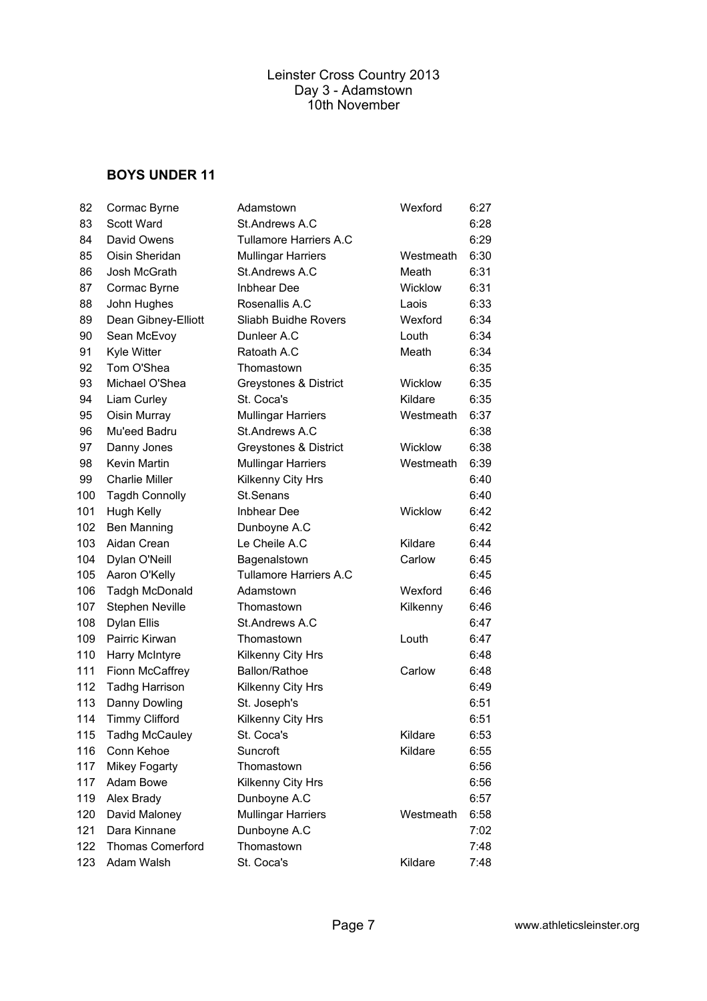| 82  | Cormac Byrne            | Adamstown                        | Wexford   | 6:27 |
|-----|-------------------------|----------------------------------|-----------|------|
| 83  | Scott Ward              | St.Andrews A.C                   |           | 6:28 |
| 84  | David Owens             | <b>Tullamore Harriers A.C</b>    |           | 6:29 |
| 85  | Oisin Sheridan          | <b>Mullingar Harriers</b>        | Westmeath | 6:30 |
| 86  | Josh McGrath            | St.Andrews A.C                   | Meath     | 6:31 |
| 87  | Cormac Byrne            | <b>Inbhear Dee</b>               | Wicklow   | 6:31 |
| 88  | John Hughes             | Rosenallis A.C                   | Laois     | 6:33 |
| 89  | Dean Gibney-Elliott     | Sliabh Buidhe Rovers             | Wexford   | 6:34 |
| 90  | Sean McEvoy             | Dunleer A.C                      | Louth     | 6:34 |
| 91  | Kyle Witter             | Ratoath A.C                      | Meath     | 6:34 |
| 92  | Tom O'Shea              | Thomastown                       |           | 6:35 |
| 93  | Michael O'Shea          | Greystones & District            | Wicklow   | 6:35 |
| 94  | Liam Curley             | St. Coca's                       | Kildare   | 6:35 |
| 95  | Oisin Murray            | <b>Mullingar Harriers</b>        | Westmeath | 6:37 |
| 96  | Mu'eed Badru            | St.Andrews A.C                   |           | 6:38 |
| 97  | Danny Jones             | <b>Greystones &amp; District</b> | Wicklow   | 6:38 |
| 98  | Kevin Martin            | <b>Mullingar Harriers</b>        | Westmeath | 6:39 |
| 99  | <b>Charlie Miller</b>   | Kilkenny City Hrs                |           | 6:40 |
| 100 | <b>Tagdh Connolly</b>   | St.Senans                        |           | 6:40 |
| 101 | Hugh Kelly              | <b>Inbhear Dee</b>               | Wicklow   | 6:42 |
| 102 | <b>Ben Manning</b>      | Dunboyne A.C                     |           | 6:42 |
| 103 | Aidan Crean             | Le Cheile A.C                    | Kildare   | 6:44 |
| 104 | Dylan O'Neill           | Bagenalstown                     | Carlow    | 6:45 |
| 105 | Aaron O'Kelly           | <b>Tullamore Harriers A.C</b>    |           | 6:45 |
| 106 | <b>Tadgh McDonald</b>   | Adamstown                        | Wexford   | 6:46 |
| 107 | <b>Stephen Neville</b>  | Thomastown                       | Kilkenny  | 6:46 |
| 108 | <b>Dylan Ellis</b>      | St.Andrews A.C                   |           | 6:47 |
| 109 | Pairric Kirwan          | Thomastown                       | Louth     | 6:47 |
| 110 | Harry McIntyre          | Kilkenny City Hrs                |           | 6:48 |
| 111 | Fionn McCaffrey         | <b>Ballon/Rathoe</b>             | Carlow    | 6:48 |
| 112 | <b>Tadhg Harrison</b>   | Kilkenny City Hrs                |           | 6:49 |
| 113 | Danny Dowling           | St. Joseph's                     |           | 6:51 |
| 114 | <b>Timmy Clifford</b>   | Kilkenny City Hrs                |           | 6:51 |
| 115 | <b>Tadhg McCauley</b>   | St. Coca's                       | Kildare   | 6:53 |
| 116 | Conn Kehoe              | Suncroft                         | Kildare   | 6:55 |
| 117 | <b>Mikey Fogarty</b>    | Thomastown                       |           | 6:56 |
| 117 | Adam Bowe               | Kilkenny City Hrs                |           | 6:56 |
| 119 | Alex Brady              | Dunboyne A.C                     |           | 6:57 |
| 120 | David Maloney           | <b>Mullingar Harriers</b>        | Westmeath | 6:58 |
| 121 | Dara Kinnane            | Dunboyne A.C                     |           | 7:02 |
| 122 | <b>Thomas Comerford</b> | Thomastown                       |           | 7:48 |
| 123 | Adam Walsh              | St. Coca's                       | Kildare   | 7:48 |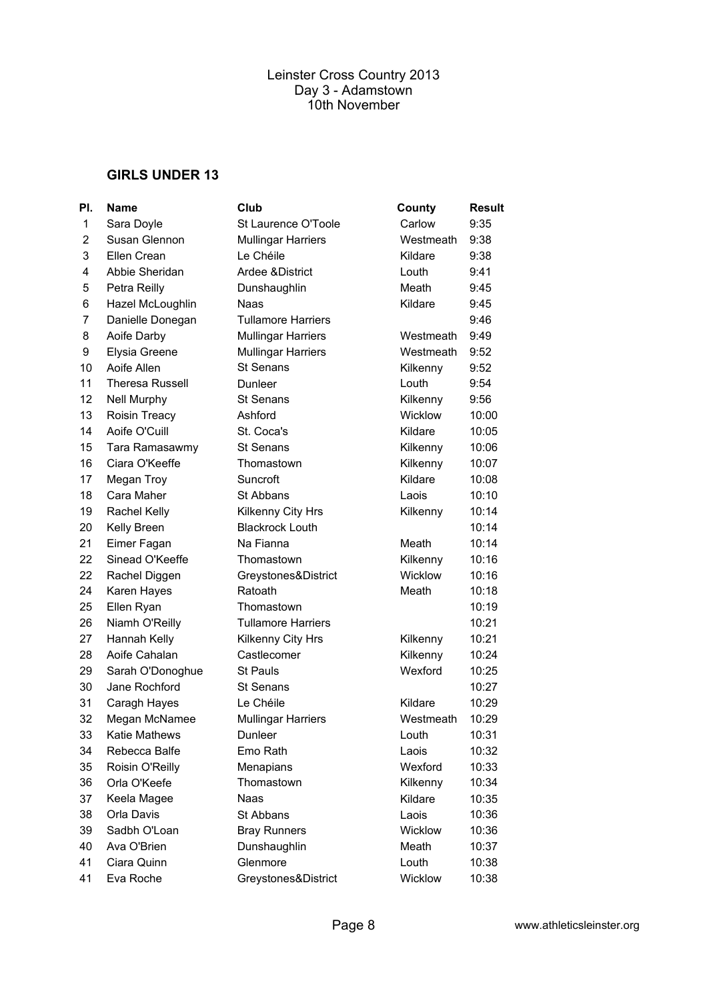| PI. | <b>Name</b>            | Club                      | County    | <b>Result</b> |
|-----|------------------------|---------------------------|-----------|---------------|
| 1   | Sara Doyle             | St Laurence O'Toole       | Carlow    | 9:35          |
| 2   | Susan Glennon          | <b>Mullingar Harriers</b> | Westmeath | 9:38          |
| 3   | Ellen Crean            | Le Chéile                 | Kildare   | 9:38          |
| 4   | Abbie Sheridan         | Ardee & District          | Louth     | 9:41          |
| 5   | Petra Reilly           | Dunshaughlin              | Meath     | 9:45          |
| 6   | Hazel McLoughlin       | Naas                      | Kildare   | 9:45          |
| 7   | Danielle Donegan       | <b>Tullamore Harriers</b> |           | 9:46          |
| 8   | Aoife Darby            | <b>Mullingar Harriers</b> | Westmeath | 9:49          |
| 9   | Elysia Greene          | <b>Mullingar Harriers</b> | Westmeath | 9:52          |
| 10  | Aoife Allen            | <b>St Senans</b>          | Kilkenny  | 9:52          |
| 11  | <b>Theresa Russell</b> | Dunleer                   | Louth     | 9:54          |
| 12  | <b>Nell Murphy</b>     | <b>St Senans</b>          | Kilkenny  | 9:56          |
| 13  | Roisin Treacy          | Ashford                   | Wicklow   | 10:00         |
| 14  | Aoife O'Cuill          | St. Coca's                | Kildare   | 10:05         |
| 15  | Tara Ramasawmy         | <b>St Senans</b>          | Kilkenny  | 10:06         |
| 16  | Ciara O'Keeffe         | Thomastown                | Kilkenny  | 10:07         |
| 17  | Megan Troy             | Suncroft                  | Kildare   | 10:08         |
| 18  | Cara Maher             | St Abbans                 | Laois     | 10:10         |
| 19  | Rachel Kelly           | Kilkenny City Hrs         | Kilkenny  | 10:14         |
| 20  | Kelly Breen            | <b>Blackrock Louth</b>    |           | 10:14         |
| 21  | Eimer Fagan            | Na Fianna                 | Meath     | 10:14         |
| 22  | Sinead O'Keeffe        | Thomastown                | Kilkenny  | 10:16         |
| 22  | Rachel Diggen          | Greystones&District       | Wicklow   | 10:16         |
| 24  | Karen Hayes            | Ratoath                   | Meath     | 10:18         |
| 25  | Ellen Ryan             | Thomastown                |           | 10:19         |
| 26  | Niamh O'Reilly         | <b>Tullamore Harriers</b> |           | 10:21         |
| 27  | Hannah Kelly           | Kilkenny City Hrs         | Kilkenny  | 10:21         |
| 28  | Aoife Cahalan          | Castlecomer               | Kilkenny  | 10:24         |
| 29  | Sarah O'Donoghue       | St Pauls                  | Wexford   | 10:25         |
| 30  | Jane Rochford          | St Senans                 |           | 10:27         |
| 31  | Caragh Hayes           | Le Chéile                 | Kildare   | 10:29         |
| 32  | Megan McNamee          | <b>Mullingar Harriers</b> | Westmeath | 10:29         |
| 33  | Katie Mathews          | Dunleer                   | Louth     | 10:31         |
| 34  | Rebecca Balfe          | Emo Rath                  | Laois     | 10:32         |
| 35  | Roisin O'Reilly        | Menapians                 | Wexford   | 10:33         |
| 36  | Orla O'Keefe           | Thomastown                | Kilkenny  | 10:34         |
| 37  | Keela Magee            | Naas                      | Kildare   | 10:35         |
| 38  | Orla Davis             | St Abbans                 | Laois     | 10:36         |
| 39  | Sadbh O'Loan           | <b>Bray Runners</b>       | Wicklow   | 10:36         |
| 40  | Ava O'Brien            | Dunshaughlin              | Meath     | 10:37         |
| 41  | Ciara Quinn            | Glenmore                  | Louth     | 10:38         |
| 41  | Eva Roche              | Greystones&District       | Wicklow   | 10:38         |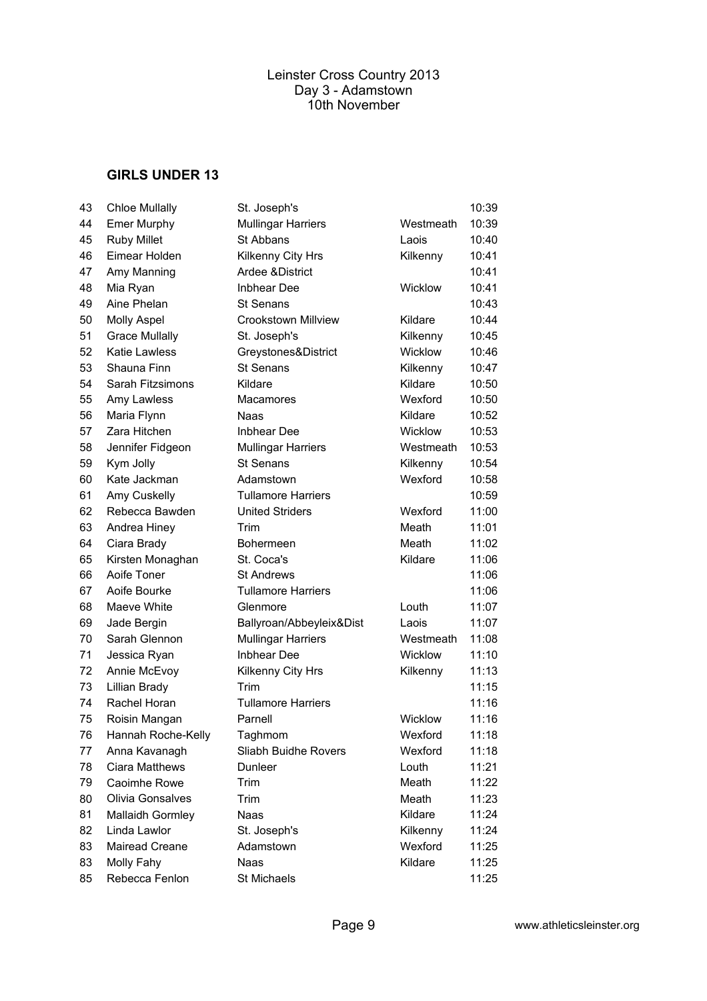| 43 | <b>Chloe Mullally</b> | St. Joseph's              |           | 10:39 |
|----|-----------------------|---------------------------|-----------|-------|
| 44 | <b>Emer Murphy</b>    | <b>Mullingar Harriers</b> | Westmeath | 10:39 |
| 45 | <b>Ruby Millet</b>    | St Abbans                 | Laois     | 10:40 |
| 46 | Eimear Holden         | Kilkenny City Hrs         | Kilkenny  | 10:41 |
| 47 | Amy Manning           | Ardee & District          |           | 10:41 |
| 48 | Mia Ryan              | <b>Inbhear Dee</b>        | Wicklow   | 10:41 |
| 49 | Aine Phelan           | <b>St Senans</b>          |           | 10:43 |
| 50 | <b>Molly Aspel</b>    | Crookstown Millview       | Kildare   | 10:44 |
| 51 | <b>Grace Mullally</b> | St. Joseph's              | Kilkenny  | 10:45 |
| 52 | <b>Katie Lawless</b>  | Greystones&District       | Wicklow   | 10:46 |
| 53 | Shauna Finn           | <b>St Senans</b>          | Kilkenny  | 10:47 |
| 54 | Sarah Fitzsimons      | Kildare                   | Kildare   | 10:50 |
| 55 | Amy Lawless           | Macamores                 | Wexford   | 10:50 |
| 56 | Maria Flynn           | Naas                      | Kildare   | 10:52 |
| 57 | Zara Hitchen          | <b>Inbhear Dee</b>        | Wicklow   | 10:53 |
| 58 | Jennifer Fidgeon      | <b>Mullingar Harriers</b> | Westmeath | 10:53 |
| 59 | Kym Jolly             | <b>St Senans</b>          | Kilkenny  | 10:54 |
| 60 | Kate Jackman          | Adamstown                 | Wexford   | 10:58 |
| 61 | Amy Cuskelly          | <b>Tullamore Harriers</b> |           | 10:59 |
| 62 | Rebecca Bawden        | <b>United Striders</b>    | Wexford   | 11:00 |
| 63 | Andrea Hiney          | Trim                      | Meath     | 11:01 |
| 64 | Ciara Brady           | Bohermeen                 | Meath     | 11:02 |
| 65 | Kirsten Monaghan      | St. Coca's                | Kildare   | 11:06 |
| 66 | Aoife Toner           | <b>St Andrews</b>         |           | 11:06 |
| 67 | Aoife Bourke          | <b>Tullamore Harriers</b> |           | 11:06 |
| 68 | Maeve White           | Glenmore                  | Louth     | 11:07 |
| 69 | Jade Bergin           | Ballyroan/Abbeyleix&Dist  | Laois     | 11:07 |
| 70 | Sarah Glennon         | <b>Mullingar Harriers</b> | Westmeath | 11:08 |
| 71 | Jessica Ryan          | <b>Inbhear Dee</b>        | Wicklow   | 11:10 |
| 72 | Annie McEvoy          | Kilkenny City Hrs         | Kilkenny  | 11:13 |
| 73 | Lillian Brady         | Trim                      |           | 11:15 |
| 74 | Rachel Horan          | <b>Tullamore Harriers</b> |           | 11:16 |
| 75 | Roisin Mangan         | Parnell                   | Wicklow   | 11:16 |
| 76 | Hannah Roche-Kelly    | Taghmom                   | Wexford   | 11:18 |
| 77 | Anna Kavanagh         | Sliabh Buidhe Rovers      | Wexford   | 11:18 |
| 78 | Ciara Matthews        | Dunleer                   | Louth     | 11:21 |
| 79 | Caoimhe Rowe          | Trim                      | Meath     | 11:22 |
| 80 | Olivia Gonsalves      | Trim                      | Meath     | 11:23 |
| 81 | Mallaidh Gormley      | Naas                      | Kildare   | 11:24 |
| 82 | Linda Lawlor          | St. Joseph's              | Kilkenny  | 11:24 |
| 83 | Mairead Creane        | Adamstown                 | Wexford   | 11:25 |
| 83 | Molly Fahy            | Naas                      | Kildare   | 11:25 |
| 85 | Rebecca Fenlon        | St Michaels               |           | 11:25 |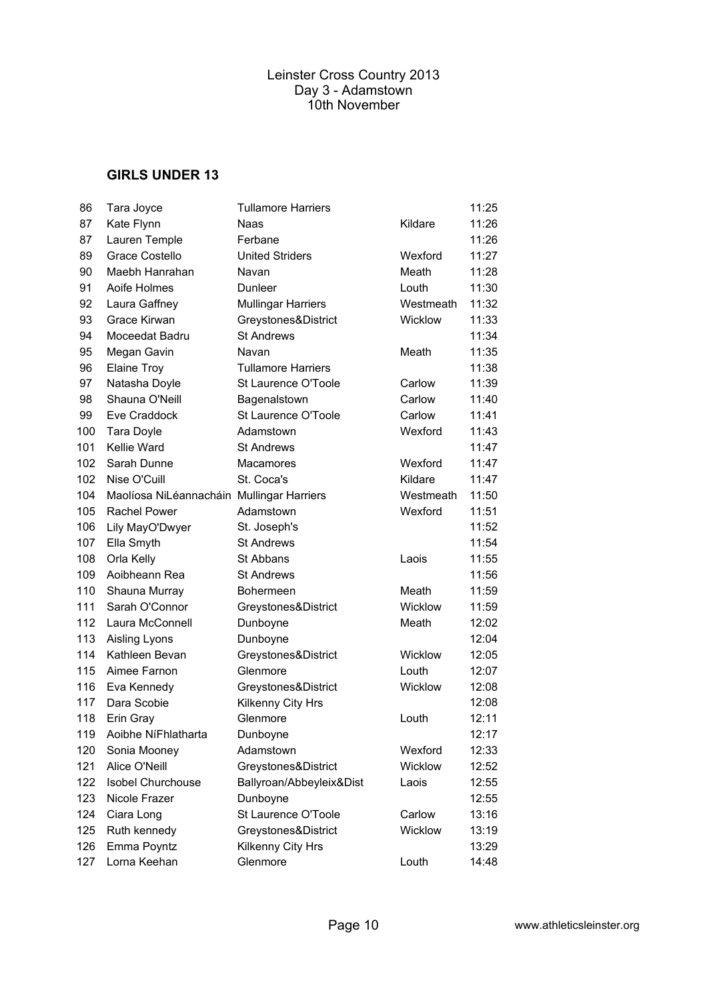| 86  | Tara Joyce                                | <b>Tullamore Harriers</b> |           | 11:25 |
|-----|-------------------------------------------|---------------------------|-----------|-------|
| 87  | Kate Flynn                                | Naas                      | Kildare   | 11:26 |
| 87  | Lauren Temple                             | Ferbane                   |           | 11:26 |
| 89  | Grace Costello                            | <b>United Striders</b>    | Wexford   | 11:27 |
| 90  | Maebh Hanrahan                            | Navan                     | Meath     | 11:28 |
| 91  | Aoife Holmes                              | Dunleer                   | Louth     | 11:30 |
| 92  | Laura Gaffney                             | <b>Mullingar Harriers</b> | Westmeath | 11:32 |
| 93  | Grace Kirwan                              | Greystones&District       | Wicklow   | 11:33 |
| 94  | Moceedat Badru                            | <b>St Andrews</b>         |           | 11:34 |
| 95  | Megan Gavin                               | Navan                     | Meath     | 11:35 |
| 96  | <b>Elaine Troy</b>                        | <b>Tullamore Harriers</b> |           | 11:38 |
| 97  | Natasha Doyle                             | St Laurence O'Toole       | Carlow    | 11:39 |
| 98  | Shauna O'Neill                            | Bagenalstown              | Carlow    | 11:40 |
| 99  | Eve Craddock                              | St Laurence O'Toole       | Carlow    | 11:41 |
| 100 | Tara Doyle                                | Adamstown                 | Wexford   | 11:43 |
| 101 | Kellie Ward                               | <b>St Andrews</b>         |           | 11:47 |
| 102 | Sarah Dunne                               | Macamores                 | Wexford   | 11:47 |
| 102 | Nise O'Cuill                              | St. Coca's                | Kildare   | 11:47 |
| 104 | Maolíosa NiLéannacháin Mullingar Harriers |                           | Westmeath | 11:50 |
| 105 | Rachel Power                              | Adamstown                 | Wexford   | 11:51 |
| 106 | Lily MayO'Dwyer                           | St. Joseph's              |           | 11:52 |
| 107 | Ella Smyth                                | <b>St Andrews</b>         |           | 11:54 |
| 108 | Orla Kelly                                | St Abbans                 | Laois     | 11:55 |
| 109 | Aoibheann Rea                             | <b>St Andrews</b>         |           | 11:56 |
| 110 | Shauna Murray                             | Bohermeen                 | Meath     | 11:59 |
| 111 | Sarah O'Connor                            | Greystones&District       | Wicklow   | 11:59 |
| 112 | Laura McConnell                           | Dunboyne                  | Meath     | 12:02 |
| 113 | Aisling Lyons                             | Dunboyne                  |           | 12:04 |
| 114 | Kathleen Bevan                            | Greystones&District       | Wicklow   | 12:05 |
| 115 | Aimee Farnon                              | Glenmore                  | Louth     | 12:07 |
| 116 | Eva Kennedy                               | Greystones&District       | Wicklow   | 12:08 |
| 117 | Dara Scobie                               | Kilkenny City Hrs         |           | 12:08 |
| 118 | Erin Gray                                 | Glenmore                  | Louth     | 12:11 |
| 119 | Aoibhe NíFhlatharta                       | Dunboyne                  |           | 12:17 |
| 120 | Sonia Mooney                              | Adamstown                 | Wexford   | 12:33 |
| 121 | Alice O'Neill                             | Greystones&District       | Wicklow   | 12:52 |
| 122 | <b>Isobel Churchouse</b>                  | Ballyroan/Abbeyleix&Dist  | Laois     | 12:55 |
| 123 | Nicole Frazer                             | Dunboyne                  |           | 12:55 |
| 124 | Ciara Long                                | St Laurence O'Toole       | Carlow    | 13:16 |
| 125 | Ruth kennedy                              | Greystones&District       | Wicklow   | 13:19 |
| 126 | Emma Poyntz                               | Kilkenny City Hrs         |           | 13:29 |
| 127 | Lorna Keehan                              | Glenmore                  | Louth     | 14:48 |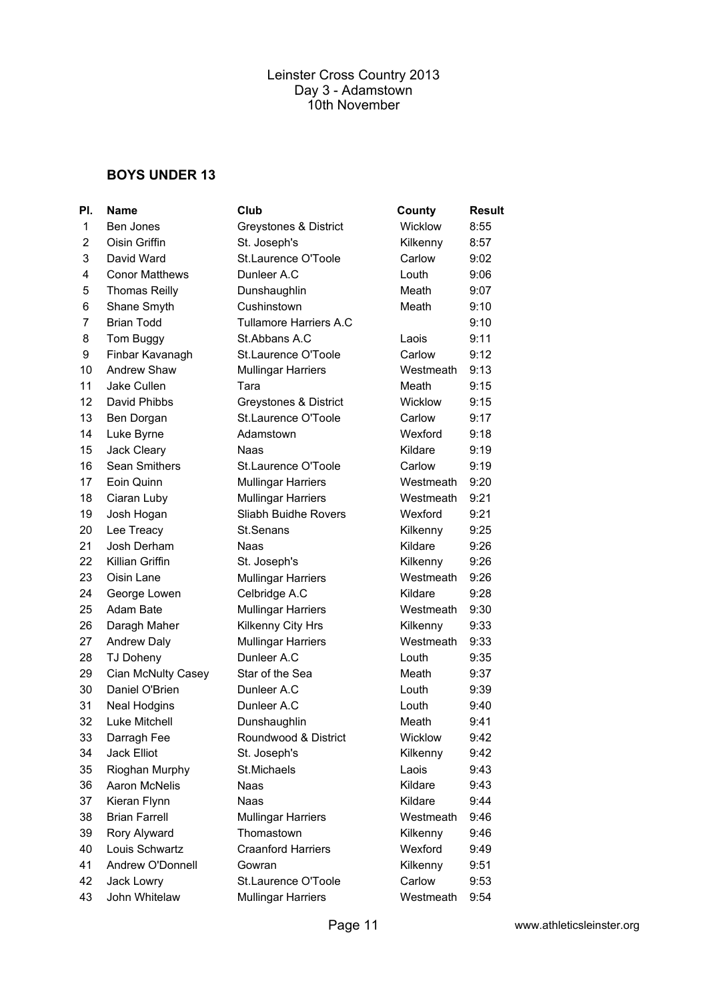| PI.          | <b>Name</b>           | Club                          | County         | <b>Result</b> |
|--------------|-----------------------|-------------------------------|----------------|---------------|
| $\mathbf{1}$ | Ben Jones             | Greystones & District         | <b>Wicklow</b> | 8:55          |
| 2            | Oisin Griffin         | St. Joseph's                  | Kilkenny       | 8:57          |
| 3            | David Ward            | St.Laurence O'Toole           | Carlow         | 9:02          |
| 4            | <b>Conor Matthews</b> | Dunleer A.C                   | Louth          | 9:06          |
| 5            | <b>Thomas Reilly</b>  | Dunshaughlin                  | Meath          | 9:07          |
| 6            | Shane Smyth           | Cushinstown                   | Meath          | 9:10          |
| 7            | <b>Brian Todd</b>     | <b>Tullamore Harriers A.C</b> |                | 9:10          |
| 8            | Tom Buggy             | St. Abbans A.C                | Laois          | 9:11          |
| 9            | Finbar Kavanagh       | St.Laurence O'Toole           | Carlow         | 9:12          |
| 10           | Andrew Shaw           | <b>Mullingar Harriers</b>     | Westmeath      | 9:13          |
| 11           | Jake Cullen           | Tara                          | Meath          | 9:15          |
| 12           | David Phibbs          | Greystones & District         | <b>Wicklow</b> | 9:15          |
| 13           | Ben Dorgan            | St.Laurence O'Toole           | Carlow         | 9:17          |
| 14           | Luke Byrne            | Adamstown                     | Wexford        | 9:18          |
| 15           | Jack Cleary           | Naas                          | Kildare        | 9:19          |
| 16           | Sean Smithers         | St.Laurence O'Toole           | Carlow         | 9:19          |
| 17           | Eoin Quinn            | <b>Mullingar Harriers</b>     | Westmeath      | 9:20          |
| 18           | Ciaran Luby           | <b>Mullingar Harriers</b>     | Westmeath      | 9:21          |
| 19           | Josh Hogan            | Sliabh Buidhe Rovers          | Wexford        | 9:21          |
| 20           | Lee Treacy            | St.Senans                     | Kilkenny       | 9:25          |
| 21           | Josh Derham           | Naas                          | Kildare        | 9:26          |
| 22           | Killian Griffin       | St. Joseph's                  | Kilkenny       | 9:26          |
| 23           | Oisin Lane            | <b>Mullingar Harriers</b>     | Westmeath      | 9:26          |
| 24           | George Lowen          | Celbridge A.C                 | Kildare        | 9:28          |
| 25           | Adam Bate             | <b>Mullingar Harriers</b>     | Westmeath      | 9:30          |
| 26           | Daragh Maher          | Kilkenny City Hrs             | Kilkenny       | 9:33          |
| 27           | Andrew Daly           | <b>Mullingar Harriers</b>     | Westmeath      | 9:33          |
| 28           | TJ Doheny             | Dunleer A.C                   | Louth          | 9:35          |
| 29           | Cian McNulty Casey    | Star of the Sea               | Meath          | 9:37          |
| 30           | Daniel O'Brien        | Dunleer A.C                   | Louth          | 9:39          |
| 31           | <b>Neal Hodgins</b>   | Dunleer A.C                   | Louth          | 9:40          |
| 32           | Luke Mitchell         | Dunshaughlin                  | Meath          | 9:41          |
| 33           | Darragh Fee           | Roundwood & District          | Wicklow        | 9:42          |
| 34           | Jack Elliot           | St. Joseph's                  | Kilkenny       | 9:42          |
| 35           | Rioghan Murphy        | St.Michaels                   | Laois          | 9:43          |
| 36           | <b>Aaron McNelis</b>  | Naas                          | Kildare        | 9:43          |
| 37           | Kieran Flynn          | Naas                          | Kildare        | 9:44          |
| 38           | <b>Brian Farrell</b>  | <b>Mullingar Harriers</b>     | Westmeath      | 9:46          |
| 39           | Rory Alyward          | Thomastown                    | Kilkenny       | 9:46          |
| 40           | Louis Schwartz        | <b>Craanford Harriers</b>     | Wexford        | 9:49          |
| 41           | Andrew O'Donnell      | Gowran                        | Kilkenny       | 9:51          |
| 42           | Jack Lowry            | St.Laurence O'Toole           | Carlow         | 9:53          |
| 43           | John Whitelaw         | <b>Mullingar Harriers</b>     | Westmeath      | 9:54          |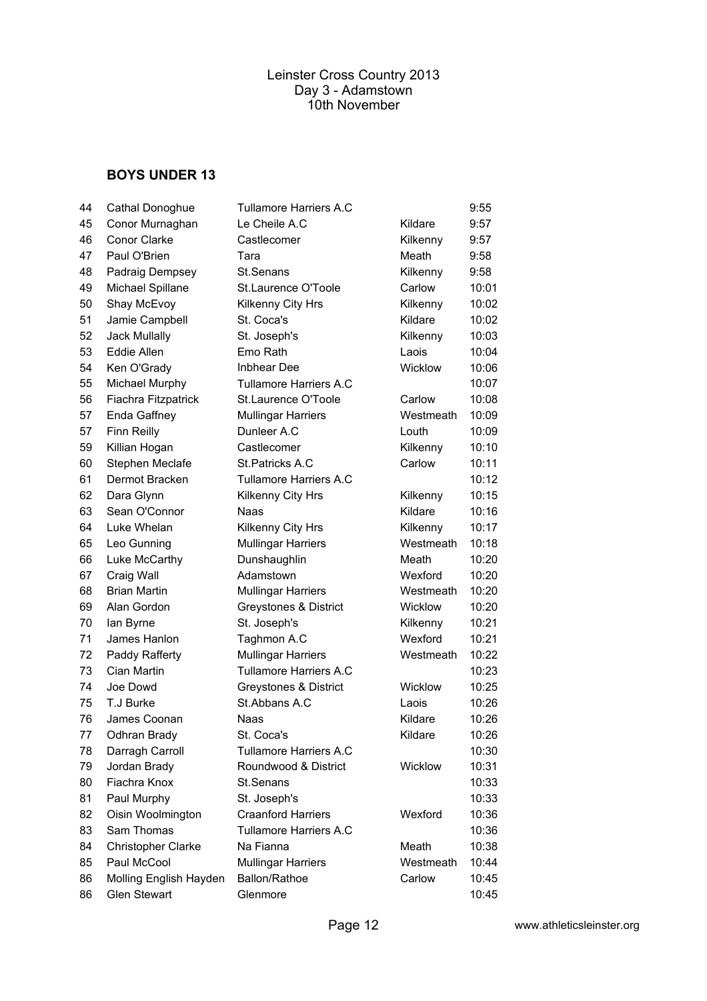| 44 | Cathal Donoghue           | <b>Tullamore Harriers A.C</b> |           | 9:55  |
|----|---------------------------|-------------------------------|-----------|-------|
| 45 | Conor Murnaghan           | Le Cheile A.C                 | Kildare   | 9:57  |
| 46 | <b>Conor Clarke</b>       | Castlecomer                   | Kilkenny  | 9:57  |
| 47 | Paul O'Brien              | Tara                          | Meath     | 9:58  |
| 48 | Padraig Dempsey           | St.Senans                     | Kilkenny  | 9:58  |
| 49 | Michael Spillane          | St.Laurence O'Toole           | Carlow    | 10:01 |
| 50 | Shay McEvoy               | Kilkenny City Hrs             | Kilkenny  | 10:02 |
| 51 | Jamie Campbell            | St. Coca's                    | Kildare   | 10:02 |
| 52 | <b>Jack Mullally</b>      | St. Joseph's                  | Kilkenny  | 10:03 |
| 53 | Eddie Allen               | Emo Rath                      | Laois     | 10:04 |
| 54 | Ken O'Grady               | <b>Inbhear Dee</b>            | Wicklow   | 10:06 |
| 55 | Michael Murphy            | <b>Tullamore Harriers A.C</b> |           | 10:07 |
| 56 | Fiachra Fitzpatrick       | St.Laurence O'Toole           | Carlow    | 10:08 |
| 57 | Enda Gaffney              | <b>Mullingar Harriers</b>     | Westmeath | 10:09 |
| 57 | Finn Reilly               | Dunleer A.C                   | Louth     | 10:09 |
| 59 | Killian Hogan             | Castlecomer                   | Kilkenny  | 10:10 |
| 60 | Stephen Meclafe           | St.Patricks A.C               | Carlow    | 10:11 |
| 61 | Dermot Bracken            | Tullamore Harriers A.C        |           | 10:12 |
| 62 | Dara Glynn                | Kilkenny City Hrs             | Kilkenny  | 10:15 |
| 63 | Sean O'Connor             | Naas                          | Kildare   | 10:16 |
| 64 | Luke Whelan               | Kilkenny City Hrs             | Kilkenny  | 10:17 |
| 65 | Leo Gunning               | <b>Mullingar Harriers</b>     | Westmeath | 10:18 |
| 66 | Luke McCarthy             | Dunshaughlin                  | Meath     | 10:20 |
| 67 | Craig Wall                | Adamstown                     | Wexford   | 10:20 |
| 68 | <b>Brian Martin</b>       | <b>Mullingar Harriers</b>     | Westmeath | 10:20 |
| 69 | Alan Gordon               | Greystones & District         | Wicklow   | 10:20 |
| 70 | lan Byrne                 | St. Joseph's                  | Kilkenny  | 10:21 |
| 71 | James Hanlon              | Taghmon A.C                   | Wexford   | 10:21 |
| 72 | Paddy Rafferty            | <b>Mullingar Harriers</b>     | Westmeath | 10:22 |
| 73 | Cian Martin               | <b>Tullamore Harriers A.C</b> |           | 10:23 |
| 74 | Joe Dowd                  | Greystones & District         | Wicklow   | 10:25 |
| 75 | T.J Burke                 | St. Abbans A.C                | Laois     | 10:26 |
| 76 | James Coonan              | Naas                          | Kildare   | 10:26 |
| 77 | Odhran Brady              | St. Coca's                    | Kildare   | 10:26 |
| 78 | Darragh Carroll           | <b>Tullamore Harriers A.C</b> |           | 10:30 |
| 79 | Jordan Brady              | Roundwood & District          | Wicklow   | 10:31 |
| 80 | Fiachra Knox              | St.Senans                     |           | 10:33 |
| 81 | Paul Murphy               | St. Joseph's                  |           | 10:33 |
| 82 | Oisin Woolmington         | <b>Craanford Harriers</b>     | Wexford   | 10:36 |
| 83 | Sam Thomas                | <b>Tullamore Harriers A.C</b> |           | 10:36 |
| 84 | <b>Christopher Clarke</b> | Na Fianna                     | Meath     | 10:38 |
| 85 | Paul McCool               | <b>Mullingar Harriers</b>     | Westmeath | 10:44 |
| 86 | Molling English Hayden    | Ballon/Rathoe                 | Carlow    | 10:45 |
| 86 | <b>Glen Stewart</b>       | Glenmore                      |           | 10:45 |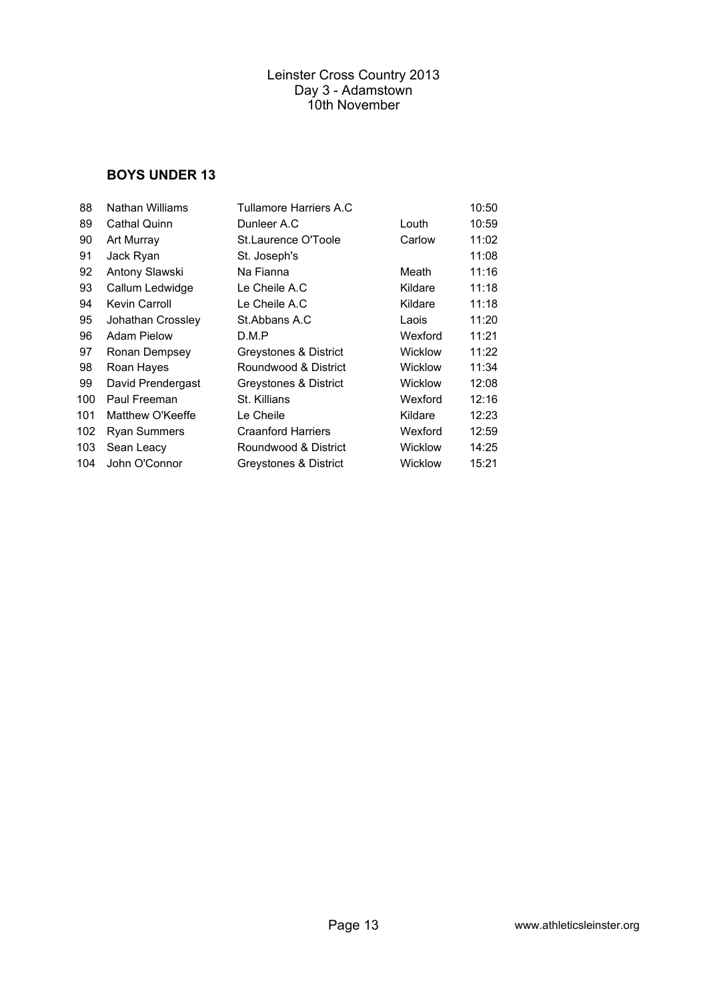| 88  | Nathan Williams     | Tullamore Harriers A.C    |                | 10:50 |
|-----|---------------------|---------------------------|----------------|-------|
| 89  | <b>Cathal Quinn</b> | Dunleer A.C               | Louth          | 10:59 |
| 90  | Art Murray          | St.Laurence O'Toole       | Carlow         | 11:02 |
| 91  | Jack Ryan           | St. Joseph's              |                | 11:08 |
| 92  | Antony Slawski      | Na Fianna                 | Meath          | 11:16 |
| 93  | Callum Ledwidge     | Le Cheile A.C             | Kildare        | 11:18 |
| 94  | Kevin Carroll       | Le Cheile A.C             | Kildare        | 11:18 |
| 95  | Johathan Crossley   | St. Abbans A.C            | Laois          | 11:20 |
| 96  | <b>Adam Pielow</b>  | D.M.P                     | Wexford        | 11:21 |
| 97  | Ronan Dempsey       | Greystones & District     | <b>Wicklow</b> | 11:22 |
| 98  | Roan Hayes          | Roundwood & District      | Wicklow        | 11:34 |
| 99  | David Prendergast   | Greystones & District     | <b>Wicklow</b> | 12:08 |
| 100 | Paul Freeman        | St. Killians              | Wexford        | 12:16 |
| 101 | Matthew O'Keeffe    | Le Cheile                 | Kildare        | 12:23 |
| 102 | <b>Ryan Summers</b> | <b>Craanford Harriers</b> | Wexford        | 12:59 |
| 103 | Sean Leacy          | Roundwood & District      | <b>Wicklow</b> | 14:25 |
| 104 | John O'Connor       | Greystones & District     | Wicklow        | 15:21 |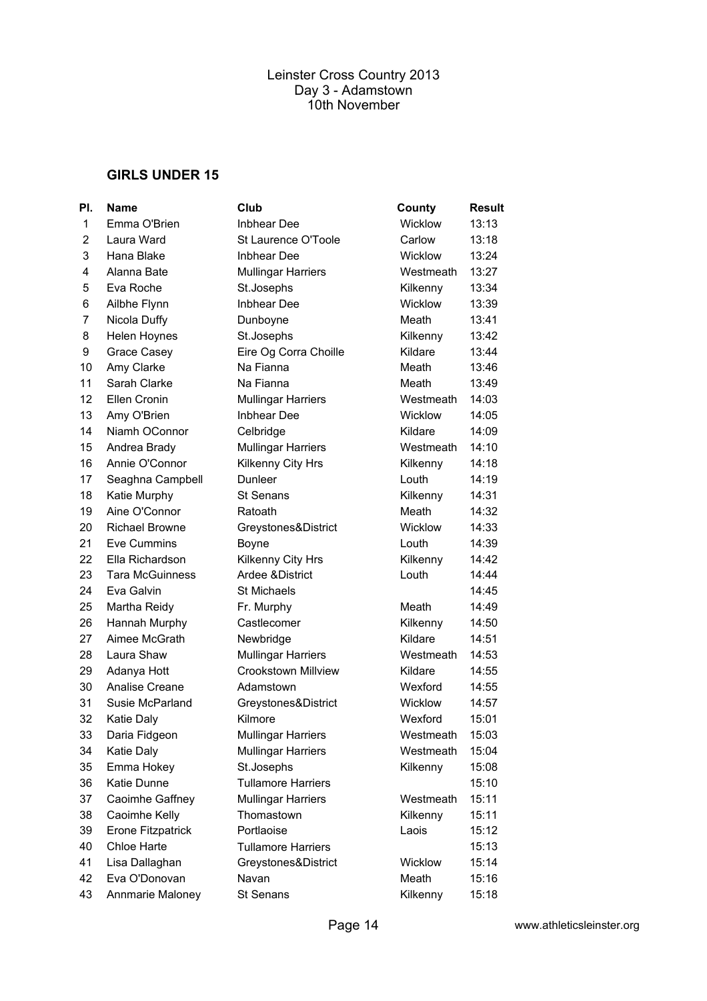| PI.            | <b>Name</b>              | Club                       | County    | <b>Result</b> |
|----------------|--------------------------|----------------------------|-----------|---------------|
| $\mathbf{1}$   | Emma O'Brien             | <b>Inbhear Dee</b>         | Wicklow   | 13:13         |
| 2              | Laura Ward               | St Laurence O'Toole        | Carlow    | 13:18         |
| 3              | Hana Blake               | <b>Inbhear Dee</b>         | Wicklow   | 13:24         |
| 4              | Alanna Bate              | <b>Mullingar Harriers</b>  | Westmeath | 13:27         |
| 5              | Eva Roche                | St.Josephs                 | Kilkenny  | 13:34         |
| 6              | Ailbhe Flynn             | <b>Inbhear Dee</b>         | Wicklow   | 13:39         |
| $\overline{7}$ | Nicola Duffy             | Dunboyne                   | Meath     | 13:41         |
| 8              | Helen Hoynes             | St.Josephs                 | Kilkenny  | 13:42         |
| 9              | <b>Grace Casey</b>       | Eire Og Corra Choille      | Kildare   | 13:44         |
| 10             | Amy Clarke               | Na Fianna                  | Meath     | 13:46         |
| 11             | Sarah Clarke             | Na Fianna                  | Meath     | 13:49         |
| 12             | Ellen Cronin             | <b>Mullingar Harriers</b>  | Westmeath | 14:03         |
| 13             | Amy O'Brien              | <b>Inbhear Dee</b>         | Wicklow   | 14:05         |
| 14             | Niamh OConnor            | Celbridge                  | Kildare   | 14:09         |
| 15             | Andrea Brady             | <b>Mullingar Harriers</b>  | Westmeath | 14:10         |
| 16             | Annie O'Connor           | Kilkenny City Hrs          | Kilkenny  | 14:18         |
| 17             | Seaghna Campbell         | Dunleer                    | Louth     | 14:19         |
| 18             | Katie Murphy             | <b>St Senans</b>           | Kilkenny  | 14:31         |
| 19             | Aine O'Connor            | Ratoath                    | Meath     | 14:32         |
| 20             | <b>Richael Browne</b>    | Greystones&District        | Wicklow   | 14:33         |
| 21             | Eve Cummins              | Boyne                      | Louth     | 14:39         |
| 22             | Ella Richardson          | Kilkenny City Hrs          | Kilkenny  | 14:42         |
| 23             | <b>Tara McGuinness</b>   | Ardee & District           | Louth     | 14:44         |
| 24             | Eva Galvin               | St Michaels                |           | 14:45         |
| 25             | Martha Reidy             | Fr. Murphy                 | Meath     | 14:49         |
| 26             | Hannah Murphy            | Castlecomer                | Kilkenny  | 14:50         |
| 27             | Aimee McGrath            | Newbridge                  | Kildare   | 14:51         |
| 28             | Laura Shaw               | <b>Mullingar Harriers</b>  | Westmeath | 14:53         |
| 29             | Adanya Hott              | <b>Crookstown Millview</b> | Kildare   | 14:55         |
| 30             | Analise Creane           | Adamstown                  | Wexford   | 14:55         |
| 31             | Susie McParland          | Greystones&District        | Wicklow   | 14:57         |
| 32             | <b>Katie Daly</b>        | Kilmore                    | Wexford   | 15:01         |
| 33             | Daria Fidgeon            | <b>Mullingar Harriers</b>  | Westmeath | 15:03         |
| 34             | <b>Katie Daly</b>        | <b>Mullingar Harriers</b>  | Westmeath | 15:04         |
| 35             | Emma Hokey               | St.Josephs                 | Kilkenny  | 15:08         |
| 36             | Katie Dunne              | <b>Tullamore Harriers</b>  |           | 15:10         |
| 37             | Caoimhe Gaffney          | <b>Mullingar Harriers</b>  | Westmeath | 15:11         |
| 38             | Caoimhe Kelly            | Thomastown                 | Kilkenny  | 15:11         |
| 39             | <b>Erone Fitzpatrick</b> | Portlaoise                 | Laois     | 15:12         |
| 40             | Chloe Harte              | <b>Tullamore Harriers</b>  |           | 15:13         |
| 41             | Lisa Dallaghan           | Greystones&District        | Wicklow   | 15:14         |
| 42             | Eva O'Donovan            | Navan                      | Meath     | 15:16         |
| 43             | Annmarie Maloney         | St Senans                  | Kilkenny  | 15:18         |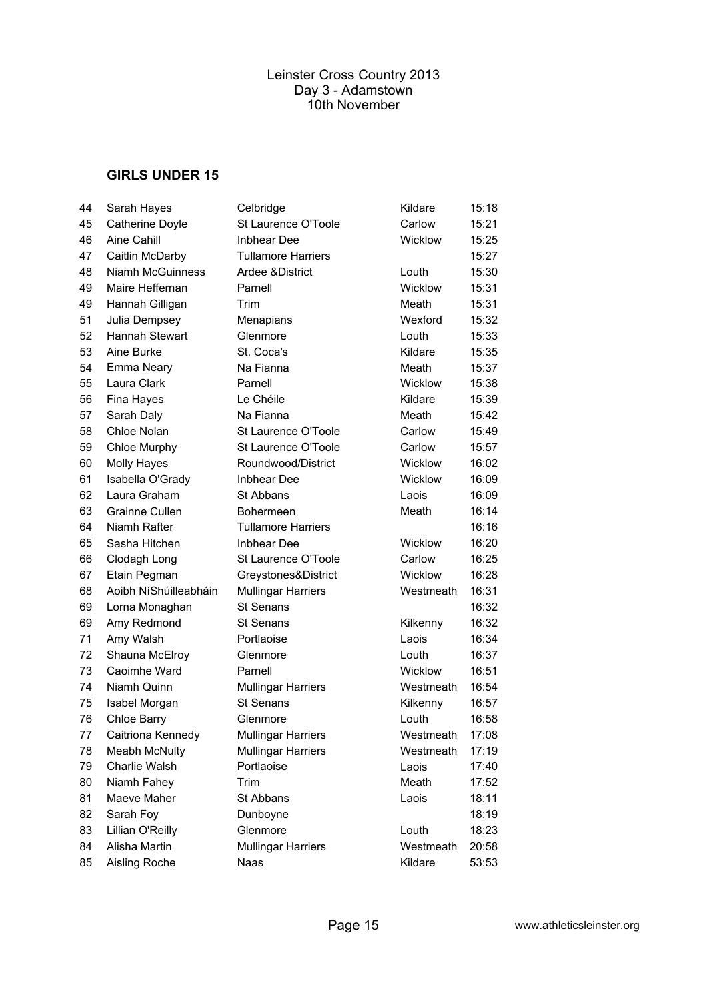| 44 | Sarah Hayes             | Celbridge                 | Kildare        | 15:18 |
|----|-------------------------|---------------------------|----------------|-------|
| 45 | Catherine Doyle         | St Laurence O'Toole       | Carlow         | 15:21 |
| 46 | Aine Cahill             | <b>Inbhear Dee</b>        | Wicklow        | 15:25 |
| 47 | Caitlin McDarby         | <b>Tullamore Harriers</b> |                | 15:27 |
| 48 | <b>Niamh McGuinness</b> | Ardee & District          | Louth          | 15:30 |
| 49 | Maire Heffernan         | Parnell                   | Wicklow        | 15:31 |
| 49 | Hannah Gilligan         | Trim                      | Meath          | 15:31 |
| 51 | Julia Dempsey           | Menapians                 | Wexford        | 15:32 |
| 52 | Hannah Stewart          | Glenmore                  | Louth          | 15:33 |
| 53 | Aine Burke              | St. Coca's                | Kildare        | 15:35 |
| 54 | Emma Neary              | Na Fianna                 | Meath          | 15:37 |
| 55 | Laura Clark             | Parnell                   | Wicklow        | 15:38 |
| 56 | Fina Hayes              | Le Chéile                 | Kildare        | 15:39 |
| 57 | Sarah Daly              | Na Fianna                 | Meath          | 15:42 |
| 58 | Chloe Nolan             | St Laurence O'Toole       | Carlow         | 15:49 |
| 59 | Chloe Murphy            | St Laurence O'Toole       | Carlow         | 15:57 |
| 60 | Molly Hayes             | Roundwood/District        | <b>Wicklow</b> | 16:02 |
| 61 | Isabella O'Grady        | <b>Inbhear Dee</b>        | Wicklow        | 16:09 |
| 62 | Laura Graham            | St Abbans                 | Laois          | 16:09 |
| 63 | Grainne Cullen          | <b>Bohermeen</b>          | Meath          | 16:14 |
| 64 | Niamh Rafter            | <b>Tullamore Harriers</b> |                | 16:16 |
| 65 | Sasha Hitchen           | <b>Inbhear Dee</b>        | Wicklow        | 16:20 |
| 66 | Clodagh Long            | St Laurence O'Toole       | Carlow         | 16:25 |
| 67 | Etain Pegman            | Greystones&District       | Wicklow        | 16:28 |
| 68 | Aoibh NíShúilleabháin   | <b>Mullingar Harriers</b> | Westmeath      | 16:31 |
| 69 | Lorna Monaghan          | <b>St Senans</b>          |                | 16:32 |
| 69 | Amy Redmond             | <b>St Senans</b>          | Kilkenny       | 16:32 |
| 71 | Amy Walsh               | Portlaoise                | Laois          | 16:34 |
| 72 | Shauna McElroy          | Glenmore                  | Louth          | 16:37 |
| 73 | Caoimhe Ward            | Parnell                   | Wicklow        | 16:51 |
| 74 | Niamh Quinn             | <b>Mullingar Harriers</b> | Westmeath      | 16:54 |
| 75 | Isabel Morgan           | <b>St Senans</b>          | Kilkenny       | 16:57 |
| 76 | Chloe Barry             | Glenmore                  | Louth          | 16:58 |
| 77 | Caitriona Kennedy       | <b>Mullingar Harriers</b> | Westmeath      | 17:08 |
| 78 | <b>Meabh McNulty</b>    | <b>Mullingar Harriers</b> | Westmeath      | 17:19 |
| 79 | Charlie Walsh           | Portlaoise                | Laois          | 17:40 |
| 80 | Niamh Fahey             | Trim                      | Meath          | 17:52 |
| 81 | Maeve Maher             | St Abbans                 | Laois          | 18:11 |
| 82 | Sarah Foy               | Dunboyne                  |                | 18:19 |
| 83 | Lillian O'Reilly        | Glenmore                  | Louth          | 18:23 |
| 84 | Alisha Martin           | <b>Mullingar Harriers</b> | Westmeath      | 20:58 |
| 85 | Aisling Roche           | Naas                      | Kildare        | 53:53 |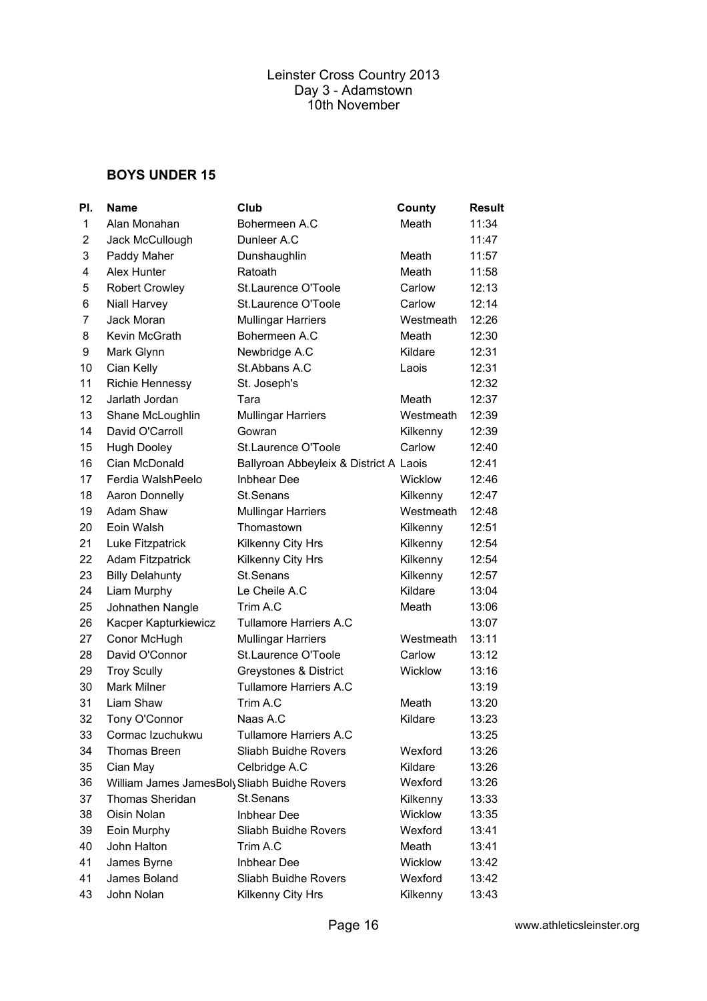| PI.            | <b>Name</b>                                  | Club                                   | County         | <b>Result</b> |
|----------------|----------------------------------------------|----------------------------------------|----------------|---------------|
| 1              | Alan Monahan                                 | Bohermeen A.C                          | Meath          | 11:34         |
| $\overline{c}$ | Jack McCullough                              | Dunleer A.C                            |                | 11:47         |
| 3              | Paddy Maher                                  | Dunshaughlin                           | Meath          | 11:57         |
| 4              | Alex Hunter                                  | Ratoath                                | Meath          | 11:58         |
| 5              | <b>Robert Crowley</b>                        | St.Laurence O'Toole                    | Carlow         | 12:13         |
| 6              | Niall Harvey                                 | St.Laurence O'Toole                    | Carlow         | 12:14         |
| 7              | Jack Moran                                   | <b>Mullingar Harriers</b>              | Westmeath      | 12:26         |
| 8              | Kevin McGrath                                | Bohermeen A.C                          | Meath          | 12:30         |
| 9              | Mark Glynn                                   | Newbridge A.C                          | Kildare        | 12:31         |
| 10             | Cian Kelly                                   | St.Abbans A.C                          | Laois          | 12:31         |
| 11             | Richie Hennessy                              | St. Joseph's                           |                | 12:32         |
| 12             | Jarlath Jordan                               | Tara                                   | Meath          | 12:37         |
| 13             | Shane McLoughlin                             | <b>Mullingar Harriers</b>              | Westmeath      | 12:39         |
| 14             | David O'Carroll                              | Gowran                                 | Kilkenny       | 12:39         |
| 15             | <b>Hugh Dooley</b>                           | St.Laurence O'Toole                    | Carlow         | 12:40         |
| 16             | Cian McDonald                                | Ballyroan Abbeyleix & District A Laois |                | 12:41         |
| 17             | Ferdia WalshPeelo                            | <b>Inbhear Dee</b>                     | <b>Wicklow</b> | 12:46         |
| 18             | Aaron Donnelly                               | St.Senans                              | Kilkenny       | 12:47         |
| 19             | Adam Shaw                                    | <b>Mullingar Harriers</b>              | Westmeath      | 12:48         |
| 20             | Eoin Walsh                                   | Thomastown                             | Kilkenny       | 12:51         |
| 21             | Luke Fitzpatrick                             | Kilkenny City Hrs                      | Kilkenny       | 12:54         |
| 22             | <b>Adam Fitzpatrick</b>                      | Kilkenny City Hrs                      | Kilkenny       | 12:54         |
| 23             | <b>Billy Delahunty</b>                       | St.Senans                              | Kilkenny       | 12:57         |
| 24             | Liam Murphy                                  | Le Cheile A.C                          | Kildare        | 13:04         |
| 25             | Johnathen Nangle                             | Trim A.C                               | Meath          | 13:06         |
| 26             | Kacper Kapturkiewicz                         | <b>Tullamore Harriers A.C</b>          |                | 13:07         |
| 27             | Conor McHugh                                 | <b>Mullingar Harriers</b>              | Westmeath      | 13:11         |
| 28             | David O'Connor                               | St.Laurence O'Toole                    | Carlow         | 13:12         |
| 29             | <b>Troy Scully</b>                           | Greystones & District                  | Wicklow        | 13:16         |
| 30             | <b>Mark Milner</b>                           | <b>Tullamore Harriers A.C</b>          |                | 13:19         |
| 31             | Liam Shaw                                    | Trim A.C                               | Meath          | 13:20         |
| 32             | Tony O'Connor                                | Naas A.C                               | Kildare        | 13:23         |
| 33             | Cormac Izuchukwu                             | Tullamore Harriers A.C                 |                | 13:25         |
| 34             | <b>Thomas Breen</b>                          | Sliabh Buidhe Rovers                   | Wexford        | 13:26         |
| 35             | Cian May                                     | Celbridge A.C                          | Kildare        | 13:26         |
| 36             | William James JamesBoly Sliabh Buidhe Rovers |                                        | Wexford        | 13:26         |
| 37             | Thomas Sheridan                              | St.Senans                              | Kilkenny       | 13:33         |
| 38             | Oisin Nolan                                  | Inbhear Dee                            | Wicklow        | 13:35         |
| 39             | Eoin Murphy                                  | Sliabh Buidhe Rovers                   | Wexford        | 13:41         |
| 40             | John Halton                                  | Trim A.C                               | Meath          | 13:41         |
| 41             | James Byrne                                  | Inbhear Dee                            | Wicklow        | 13:42         |
| 41             | James Boland                                 | Sliabh Buidhe Rovers                   | Wexford        | 13:42         |
| 43             | John Nolan                                   | Kilkenny City Hrs                      | Kilkenny       | 13:43         |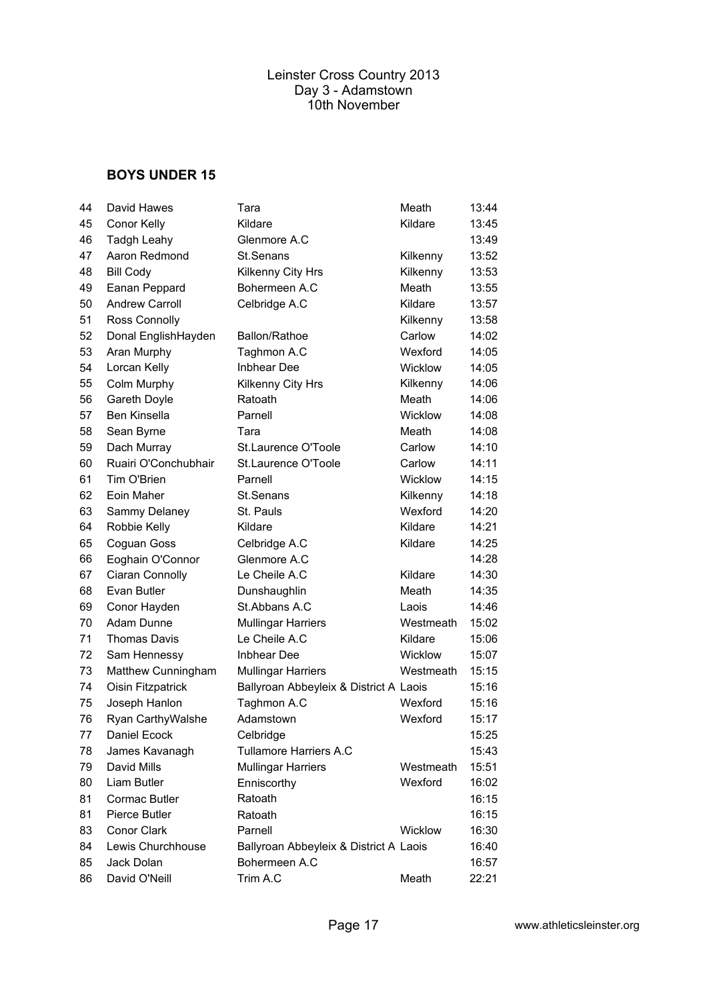| 44 | David Hawes          | Tara                                   | Meath     | 13:44 |
|----|----------------------|----------------------------------------|-----------|-------|
| 45 | <b>Conor Kelly</b>   | Kildare                                | Kildare   | 13:45 |
| 46 | <b>Tadgh Leahy</b>   | Glenmore A.C                           |           | 13:49 |
| 47 | Aaron Redmond        | St.Senans                              | Kilkenny  | 13:52 |
| 48 | <b>Bill Cody</b>     | Kilkenny City Hrs                      | Kilkenny  | 13:53 |
| 49 | Eanan Peppard        | Bohermeen A.C                          | Meath     | 13:55 |
| 50 | Andrew Carroll       | Celbridge A.C                          | Kildare   | 13:57 |
| 51 | Ross Connolly        |                                        | Kilkenny  | 13:58 |
| 52 | Donal EnglishHayden  | <b>Ballon/Rathoe</b>                   | Carlow    | 14:02 |
| 53 | Aran Murphy          | Taghmon A.C                            | Wexford   | 14:05 |
| 54 | Lorcan Kelly         | <b>Inbhear Dee</b>                     | Wicklow   | 14:05 |
| 55 | Colm Murphy          | Kilkenny City Hrs                      | Kilkenny  | 14:06 |
| 56 | Gareth Doyle         | Ratoath                                | Meath     | 14:06 |
| 57 | Ben Kinsella         | Parnell                                | Wicklow   | 14:08 |
| 58 | Sean Byrne           | Tara                                   | Meath     | 14:08 |
| 59 | Dach Murray          | St.Laurence O'Toole                    | Carlow    | 14:10 |
| 60 | Ruairi O'Conchubhair | St.Laurence O'Toole                    | Carlow    | 14:11 |
| 61 | Tim O'Brien          | Parnell                                | Wicklow   | 14:15 |
| 62 | Eoin Maher           | St.Senans                              | Kilkenny  | 14:18 |
| 63 | Sammy Delaney        | St. Pauls                              | Wexford   | 14:20 |
| 64 | Robbie Kelly         | Kildare                                | Kildare   | 14:21 |
| 65 | Coguan Goss          | Celbridge A.C                          | Kildare   | 14:25 |
| 66 | Eoghain O'Connor     | Glenmore A.C                           |           | 14:28 |
| 67 | Ciaran Connolly      | Le Cheile A.C                          | Kildare   | 14:30 |
| 68 | Evan Butler          | Dunshaughlin                           | Meath     | 14:35 |
| 69 | Conor Hayden         | St.Abbans A.C                          | Laois     | 14:46 |
| 70 | Adam Dunne           | <b>Mullingar Harriers</b>              | Westmeath | 15:02 |
| 71 | <b>Thomas Davis</b>  | Le Cheile A.C                          | Kildare   | 15:06 |
| 72 | Sam Hennessy         | <b>Inbhear Dee</b>                     | Wicklow   | 15:07 |
| 73 | Matthew Cunningham   | <b>Mullingar Harriers</b>              | Westmeath | 15:15 |
| 74 | Oisin Fitzpatrick    | Ballyroan Abbeyleix & District A Laois |           | 15:16 |
| 75 | Joseph Hanlon        | Taghmon A.C                            | Wexford   | 15:16 |
| 76 | Ryan CarthyWalshe    | Adamstown                              | Wexford   | 15:17 |
| 77 | Daniel Ecock         | Celbridge                              |           | 15:25 |
| 78 | James Kavanagh       | Tullamore Harriers A.C                 |           | 15:43 |
| 79 | David Mills          | <b>Mullingar Harriers</b>              | Westmeath | 15:51 |
| 80 | Liam Butler          | Enniscorthy                            | Wexford   | 16:02 |
| 81 | Cormac Butler        | Ratoath                                |           | 16:15 |
| 81 | Pierce Butler        | Ratoath                                |           | 16:15 |
| 83 | Conor Clark          | Parnell                                | Wicklow   | 16:30 |
| 84 | Lewis Churchhouse    | Ballyroan Abbeyleix & District A Laois |           | 16:40 |
| 85 | Jack Dolan           | Bohermeen A.C                          |           | 16:57 |
| 86 | David O'Neill        | Trim A.C                               | Meath     | 22:21 |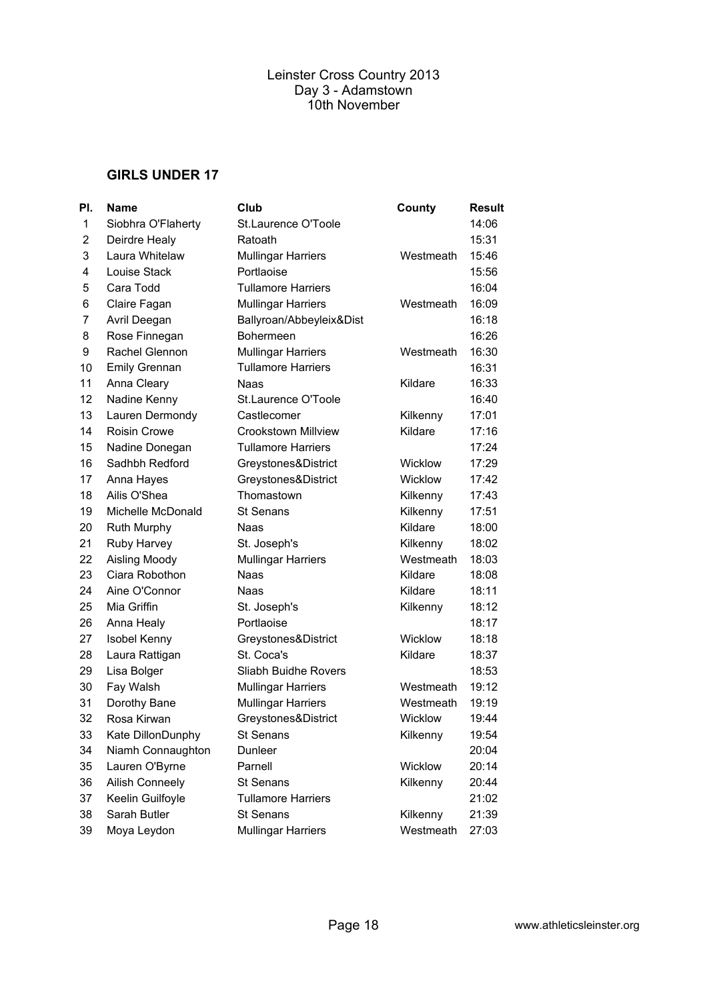| PI. | <b>Name</b>            | Club                      | County    | <b>Result</b> |
|-----|------------------------|---------------------------|-----------|---------------|
| 1   | Siobhra O'Flaherty     | St.Laurence O'Toole       |           | 14:06         |
| 2   | Deirdre Healy          | Ratoath                   |           | 15:31         |
| 3   | Laura Whitelaw         | <b>Mullingar Harriers</b> | Westmeath | 15:46         |
| 4   | Louise Stack           | Portlaoise                |           | 15:56         |
| 5   | Cara Todd              | <b>Tullamore Harriers</b> |           | 16:04         |
| 6   | Claire Fagan           | <b>Mullingar Harriers</b> | Westmeath | 16:09         |
| 7   | Avril Deegan           | Ballyroan/Abbeyleix&Dist  |           | 16:18         |
| 8   | Rose Finnegan          | Bohermeen                 |           | 16:26         |
| 9   | Rachel Glennon         | <b>Mullingar Harriers</b> | Westmeath | 16:30         |
| 10  | <b>Emily Grennan</b>   | <b>Tullamore Harriers</b> |           | 16:31         |
| 11  | Anna Cleary            | Naas                      | Kildare   | 16:33         |
| 12  | Nadine Kenny           | St.Laurence O'Toole       |           | 16:40         |
| 13  | Lauren Dermondy        | Castlecomer               | Kilkenny  | 17:01         |
| 14  | Roisin Crowe           | Crookstown Millview       | Kildare   | 17:16         |
| 15  | Nadine Donegan         | <b>Tullamore Harriers</b> |           | 17:24         |
| 16  | Sadhbh Redford         | Greystones&District       | Wicklow   | 17:29         |
| 17  | Anna Hayes             | Greystones&District       | Wicklow   | 17:42         |
| 18  | Ailis O'Shea           | Thomastown                | Kilkenny  | 17:43         |
| 19  | Michelle McDonald      | <b>St Senans</b>          | Kilkenny  | 17:51         |
| 20  | <b>Ruth Murphy</b>     | Naas                      | Kildare   | 18:00         |
| 21  | Ruby Harvey            | St. Joseph's              | Kilkenny  | 18:02         |
| 22  | Aisling Moody          | <b>Mullingar Harriers</b> | Westmeath | 18:03         |
| 23  | Ciara Robothon         | Naas                      | Kildare   | 18:08         |
| 24  | Aine O'Connor          | Naas                      | Kildare   | 18:11         |
| 25  | Mia Griffin            | St. Joseph's              | Kilkenny  | 18:12         |
| 26  | Anna Healy             | Portlaoise                |           | 18:17         |
| 27  | Isobel Kenny           | Greystones&District       | Wicklow   | 18:18         |
| 28  | Laura Rattigan         | St. Coca's                | Kildare   | 18:37         |
| 29  | Lisa Bolger            | Sliabh Buidhe Rovers      |           | 18:53         |
| 30  | Fay Walsh              | <b>Mullingar Harriers</b> | Westmeath | 19:12         |
| 31  | Dorothy Bane           | <b>Mullingar Harriers</b> | Westmeath | 19:19         |
| 32  | Rosa Kirwan            | Greystones&District       | Wicklow   | 19:44         |
| 33  | Kate DillonDunphy      | St Senans                 | Kilkenny  | 19:54         |
| 34  | Niamh Connaughton      | Dunleer                   |           | 20:04         |
| 35  | Lauren O'Byrne         | Parnell                   | Wicklow   | 20:14         |
| 36  | <b>Ailish Conneely</b> | <b>St Senans</b>          | Kilkenny  | 20:44         |
| 37  | Keelin Guilfoyle       | <b>Tullamore Harriers</b> |           | 21:02         |
| 38  | Sarah Butler           | St Senans                 | Kilkenny  | 21:39         |
| 39  | Moya Leydon            | <b>Mullingar Harriers</b> | Westmeath | 27:03         |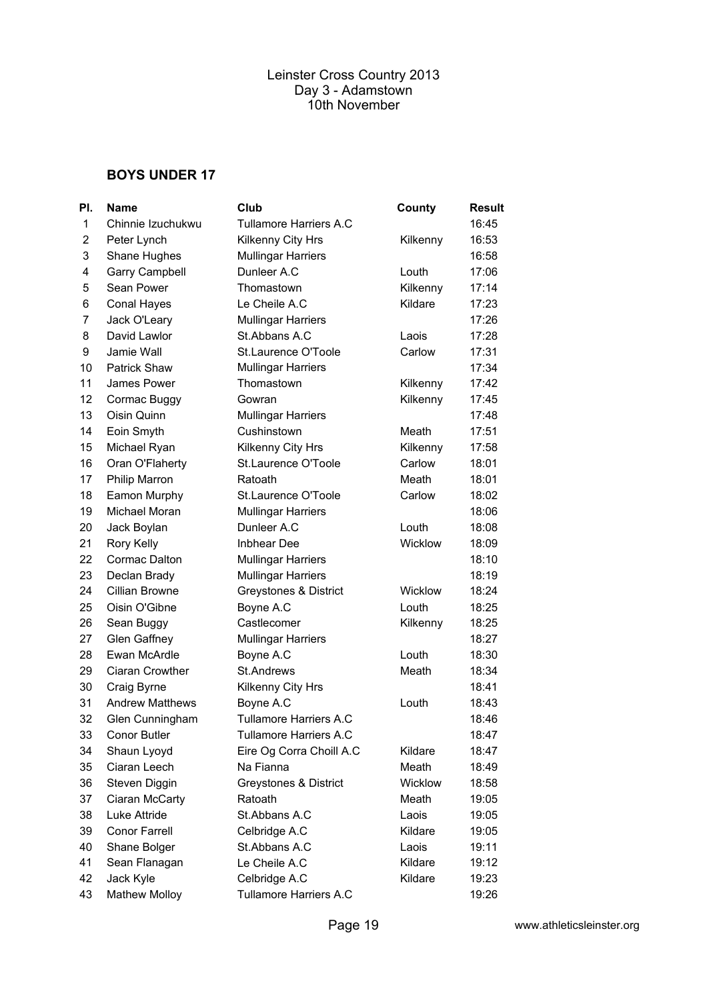| PI.            | <b>Name</b>            | Club                          | County   | Result |
|----------------|------------------------|-------------------------------|----------|--------|
| 1              | Chinnie Izuchukwu      | <b>Tullamore Harriers A.C</b> |          | 16:45  |
| $\overline{c}$ | Peter Lynch            | Kilkenny City Hrs             | Kilkenny | 16:53  |
| 3              | Shane Hughes           | <b>Mullingar Harriers</b>     |          | 16:58  |
| 4              | <b>Garry Campbell</b>  | Dunleer A.C                   | Louth    | 17:06  |
| 5              | Sean Power             | Thomastown                    | Kilkenny | 17:14  |
| 6              | Conal Hayes            | Le Cheile A.C                 | Kildare  | 17:23  |
| $\overline{7}$ | Jack O'Leary           | <b>Mullingar Harriers</b>     |          | 17:26  |
| 8              | David Lawlor           | St.Abbans A.C                 | Laois    | 17:28  |
| 9              | Jamie Wall             | St.Laurence O'Toole           | Carlow   | 17:31  |
| 10             | Patrick Shaw           | <b>Mullingar Harriers</b>     |          | 17:34  |
| 11             | James Power            | Thomastown                    | Kilkenny | 17:42  |
| 12             | Cormac Buggy           | Gowran                        | Kilkenny | 17:45  |
| 13             | Oisin Quinn            | <b>Mullingar Harriers</b>     |          | 17:48  |
| 14             | Eoin Smyth             | Cushinstown                   | Meath    | 17:51  |
| 15             | Michael Ryan           | Kilkenny City Hrs             | Kilkenny | 17:58  |
| 16             | Oran O'Flaherty        | St.Laurence O'Toole           | Carlow   | 18:01  |
| 17             | Philip Marron          | Ratoath                       | Meath    | 18:01  |
| 18             | Eamon Murphy           | St.Laurence O'Toole           | Carlow   | 18:02  |
| 19             | Michael Moran          | <b>Mullingar Harriers</b>     |          | 18:06  |
| 20             | Jack Boylan            | Dunleer A.C                   | Louth    | 18:08  |
| 21             | Rory Kelly             | <b>Inbhear</b> Dee            | Wicklow  | 18:09  |
| 22             | Cormac Dalton          | <b>Mullingar Harriers</b>     |          | 18:10  |
| 23             | Declan Brady           | <b>Mullingar Harriers</b>     |          | 18:19  |
| 24             | Cillian Browne         | Greystones & District         | Wicklow  | 18:24  |
| 25             | Oisin O'Gibne          | Boyne A.C                     | Louth    | 18:25  |
| 26             | Sean Buggy             | Castlecomer                   | Kilkenny | 18:25  |
| 27             | Glen Gaffney           | <b>Mullingar Harriers</b>     |          | 18:27  |
| 28             | Ewan McArdle           | Boyne A.C                     | Louth    | 18:30  |
| 29             | Ciaran Crowther        | St.Andrews                    | Meath    | 18:34  |
| 30             | Craig Byrne            | Kilkenny City Hrs             |          | 18:41  |
| 31             | <b>Andrew Matthews</b> | Boyne A.C                     | Louth    | 18:43  |
| 32             | Glen Cunningham        | <b>Tullamore Harriers A.C</b> |          | 18:46  |
| 33             | Conor Butler           | Tullamore Harriers A.C        |          | 18:47  |
| 34             | Shaun Lyoyd            | Eire Og Corra Choill A.C      | Kildare  | 18:47  |
| 35             | Ciaran Leech           | Na Fianna                     | Meath    | 18:49  |
| 36             | Steven Diggin          | Greystones & District         | Wicklow  | 18:58  |
| 37             | Ciaran McCarty         | Ratoath                       | Meath    | 19:05  |
| 38             | Luke Attride           | St. Abbans A.C                | Laois    | 19:05  |
| 39             | <b>Conor Farrell</b>   | Celbridge A.C                 | Kildare  | 19:05  |
| 40             | Shane Bolger           | St.Abbans A.C                 | Laois    | 19:11  |
| 41             | Sean Flanagan          | Le Cheile A.C                 | Kildare  | 19:12  |
| 42             | Jack Kyle              | Celbridge A.C                 | Kildare  | 19:23  |
| 43             | <b>Mathew Molloy</b>   | Tullamore Harriers A.C        |          | 19:26  |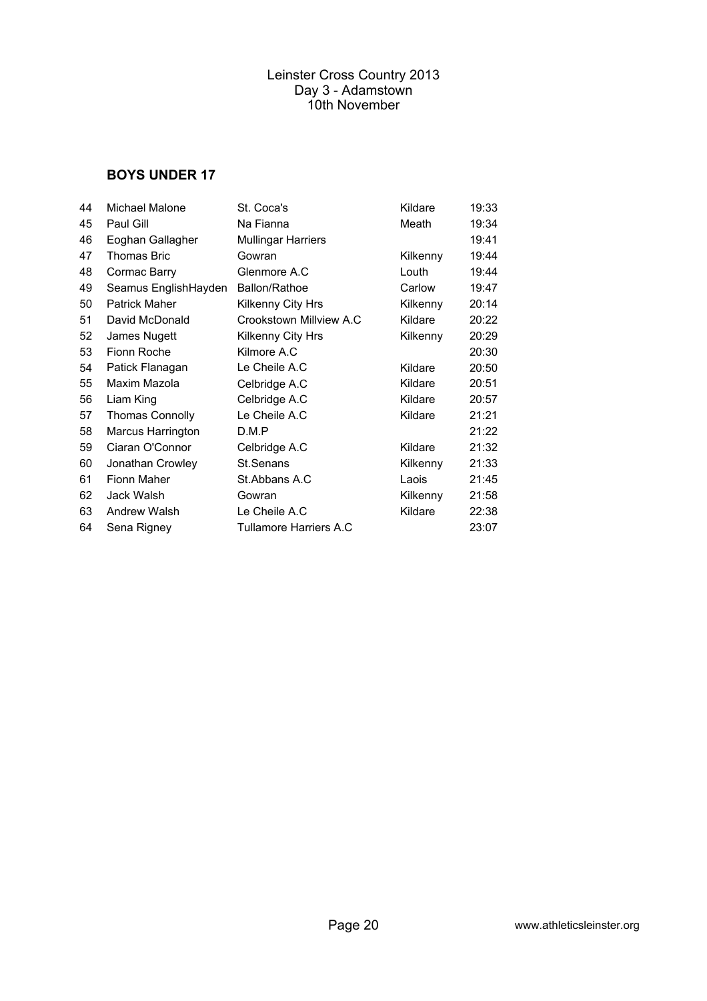| 44 | Michael Malone         | St. Coca's                    | Kildare  | 19:33 |
|----|------------------------|-------------------------------|----------|-------|
| 45 | Paul Gill              | Na Fianna                     | Meath    | 19:34 |
| 46 | Eoghan Gallagher       | <b>Mullingar Harriers</b>     |          | 19:41 |
| 47 | <b>Thomas Bric</b>     | Gowran                        | Kilkenny | 19:44 |
| 48 | Cormac Barry           | Glenmore A.C                  | Louth    | 19:44 |
| 49 | Seamus EnglishHayden   | <b>Ballon/Rathoe</b>          | Carlow   | 19:47 |
| 50 | <b>Patrick Maher</b>   | Kilkenny City Hrs             | Kilkenny | 20:14 |
| 51 | David McDonald         | Crookstown Millview A.C       | Kildare  | 20:22 |
| 52 | James Nugett           | Kilkenny City Hrs             | Kilkenny | 20:29 |
| 53 | Fionn Roche            | Kilmore A.C                   |          | 20:30 |
| 54 | Patick Flanagan        | Le Cheile A.C                 | Kildare  | 20:50 |
| 55 | Maxim Mazola           | Celbridge A.C                 | Kildare  | 20:51 |
| 56 | Liam King              | Celbridge A.C                 | Kildare  | 20:57 |
| 57 | <b>Thomas Connolly</b> | Le Cheile A.C                 | Kildare  | 21:21 |
| 58 | Marcus Harrington      | D.M.P                         |          | 21:22 |
| 59 | Ciaran O'Connor        | Celbridge A.C                 | Kildare  | 21:32 |
| 60 | Jonathan Crowley       | St.Senans                     | Kilkenny | 21:33 |
| 61 | <b>Fionn Maher</b>     | St. Abbans A.C                | Laois    | 21:45 |
| 62 | Jack Walsh             | Gowran                        | Kilkenny | 21:58 |
| 63 | Andrew Walsh           | Le Cheile A.C                 | Kildare  | 22:38 |
| 64 | Sena Rigney            | <b>Tullamore Harriers A.C</b> |          | 23:07 |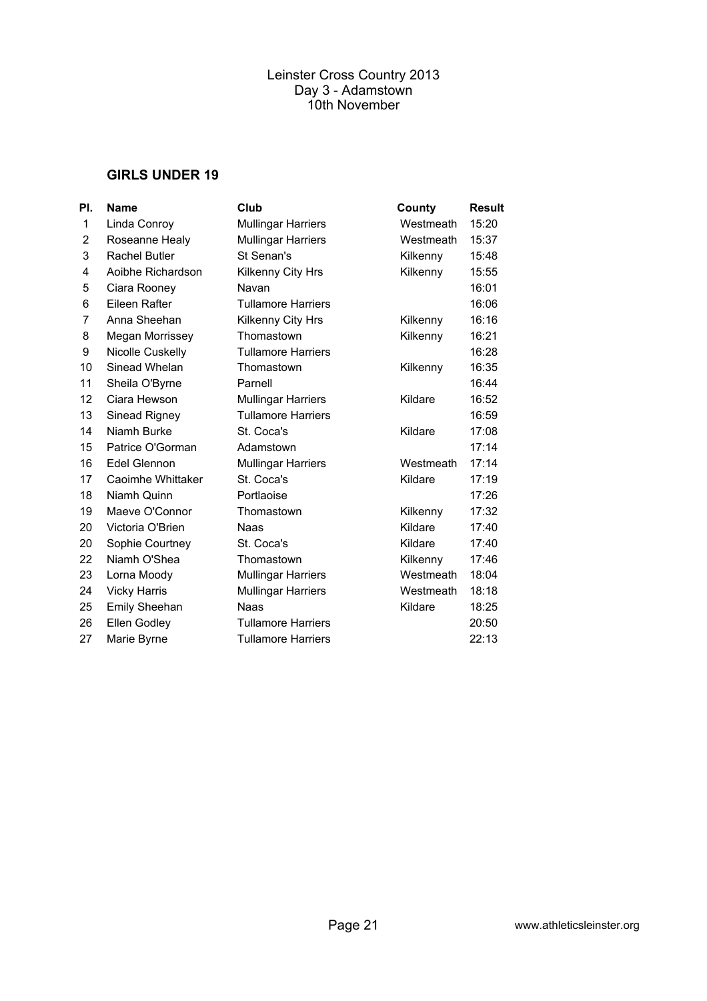| PI.            | <b>Name</b>          | Club                      | County    | <b>Result</b> |
|----------------|----------------------|---------------------------|-----------|---------------|
| 1              | Linda Conroy         | <b>Mullingar Harriers</b> | Westmeath | 15:20         |
| 2              | Roseanne Healy       | <b>Mullingar Harriers</b> | Westmeath | 15:37         |
| 3              | <b>Rachel Butler</b> | St Senan's                | Kilkenny  | 15:48         |
| 4              | Aoibhe Richardson    | Kilkenny City Hrs         | Kilkenny  | 15:55         |
| 5              | Ciara Rooney         | Navan                     |           | 16:01         |
| 6              | Eileen Rafter        | <b>Tullamore Harriers</b> |           | 16:06         |
| $\overline{7}$ | Anna Sheehan         | Kilkenny City Hrs         | Kilkenny  | 16:16         |
| 8              | Megan Morrissey      | Thomastown                | Kilkenny  | 16:21         |
| 9              | Nicolle Cuskelly     | <b>Tullamore Harriers</b> |           | 16:28         |
| 10             | Sinead Whelan        | Thomastown                | Kilkenny  | 16:35         |
| 11             | Sheila O'Byrne       | Parnell                   |           | 16:44         |
| 12             | Ciara Hewson         | <b>Mullingar Harriers</b> | Kildare   | 16:52         |
| 13             | Sinead Rigney        | <b>Tullamore Harriers</b> |           | 16:59         |
| 14             | Niamh Burke          | St. Coca's                | Kildare   | 17:08         |
| 15             | Patrice O'Gorman     | Adamstown                 |           | 17:14         |
| 16             | Edel Glennon         | <b>Mullingar Harriers</b> | Westmeath | 17:14         |
| 17             | Caoimhe Whittaker    | St. Coca's                | Kildare   | 17:19         |
| 18             | Niamh Quinn          | Portlaoise                |           | 17:26         |
| 19             | Maeve O'Connor       | Thomastown                | Kilkenny  | 17:32         |
| 20             | Victoria O'Brien     | Naas                      | Kildare   | 17:40         |
| 20             | Sophie Courtney      | St. Coca's                | Kildare   | 17:40         |
| 22             | Niamh O'Shea         | Thomastown                | Kilkenny  | 17:46         |
| 23             | Lorna Moody          | <b>Mullingar Harriers</b> | Westmeath | 18:04         |
| 24             | <b>Vicky Harris</b>  | <b>Mullingar Harriers</b> | Westmeath | 18:18         |
| 25             | Emily Sheehan        | Naas                      | Kildare   | 18:25         |
| 26             | Ellen Godley         | <b>Tullamore Harriers</b> |           | 20:50         |
| 27             | Marie Byrne          | <b>Tullamore Harriers</b> |           | 22:13         |